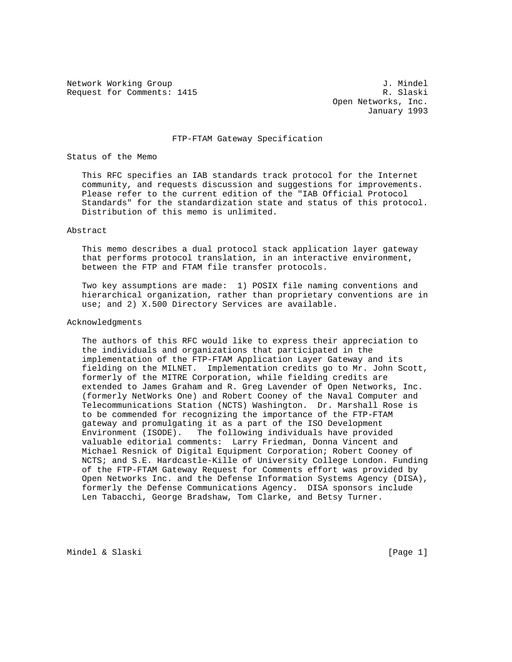Network Working Group 3. Mindel 3. Mindel Request for Comments: 1415 Request for Comments: 1415

 Open Networks, Inc. January 1993

#### FTP-FTAM Gateway Specification

#### Status of the Memo

 This RFC specifies an IAB standards track protocol for the Internet community, and requests discussion and suggestions for improvements. Please refer to the current edition of the "IAB Official Protocol Standards" for the standardization state and status of this protocol. Distribution of this memo is unlimited.

### Abstract

 This memo describes a dual protocol stack application layer gateway that performs protocol translation, in an interactive environment, between the FTP and FTAM file transfer protocols.

 Two key assumptions are made: 1) POSIX file naming conventions and hierarchical organization, rather than proprietary conventions are in use; and 2) X.500 Directory Services are available.

## Acknowledgments

 The authors of this RFC would like to express their appreciation to the individuals and organizations that participated in the implementation of the FTP-FTAM Application Layer Gateway and its fielding on the MILNET. Implementation credits go to Mr. John Scott, formerly of the MITRE Corporation, while fielding credits are extended to James Graham and R. Greg Lavender of Open Networks, Inc. (formerly NetWorks One) and Robert Cooney of the Naval Computer and Telecommunications Station (NCTS) Washington. Dr. Marshall Rose is to be commended for recognizing the importance of the FTP-FTAM gateway and promulgating it as a part of the ISO Development Environment (ISODE). The following individuals have provided valuable editorial comments: Larry Friedman, Donna Vincent and Michael Resnick of Digital Equipment Corporation; Robert Cooney of NCTS; and S.E. Hardcastle-Kille of University College London. Funding of the FTP-FTAM Gateway Request for Comments effort was provided by Open Networks Inc. and the Defense Information Systems Agency (DISA), formerly the Defense Communications Agency. DISA sponsors include Len Tabacchi, George Bradshaw, Tom Clarke, and Betsy Turner.

Mindel & Slaski [Page 1]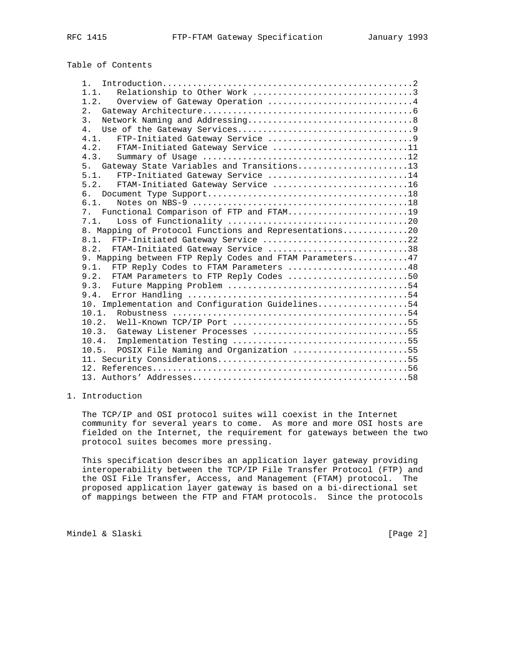| Table of Contents |  |
|-------------------|--|
|-------------------|--|

| 1.1.                                                     |  |
|----------------------------------------------------------|--|
| 1.2.<br>Overview of Gateway Operation 4                  |  |
|                                                          |  |
| 3.                                                       |  |
| 4.                                                       |  |
| 4.1.                                                     |  |
| 4.2. FTAM-Initiated Gateway Service 11                   |  |
| 4.3.                                                     |  |
| 5. Gateway State Variables and Transitions13             |  |
| 5.1. FTP-Initiated Gateway Service 14                    |  |
| 5.2. FTAM-Initiated Gateway Service 16                   |  |
|                                                          |  |
| 6.1.                                                     |  |
| 7. Functional Comparison of FTP and FTAM19               |  |
| 7.1.                                                     |  |
| 8. Mapping of Protocol Functions and Representations20   |  |
| 8.1. FTP-Initiated Gateway Service 22                    |  |
| 8.2. FTAM-Initiated Gateway Service 38                   |  |
| 9. Mapping between FTP Reply Codes and FTAM Parameters47 |  |
| FTP Reply Codes to FTAM Parameters 48<br>9.1.            |  |
| FTAM Parameters to FTP Reply Codes 50<br>9.2.            |  |
| 9.3.                                                     |  |
| 9.4.                                                     |  |
| 10. Implementation and Configuration Guidelines54        |  |
| Well-Known TCP/IP Port 55<br>10.2.                       |  |
| 10.3.<br>Gateway Listener Processes 55                   |  |
| 10.4.                                                    |  |
| POSIX File Naming and Organization 55<br>10.5.           |  |
|                                                          |  |
|                                                          |  |
|                                                          |  |
|                                                          |  |

## 1. Introduction

 The TCP/IP and OSI protocol suites will coexist in the Internet community for several years to come. As more and more OSI hosts are fielded on the Internet, the requirement for gateways between the two protocol suites becomes more pressing.

 This specification describes an application layer gateway providing interoperability between the TCP/IP File Transfer Protocol (FTP) and the OSI File Transfer, Access, and Management (FTAM) protocol. The proposed application layer gateway is based on a bi-directional set of mappings between the FTP and FTAM protocols. Since the protocols

Mindel & Slaski (Page 2)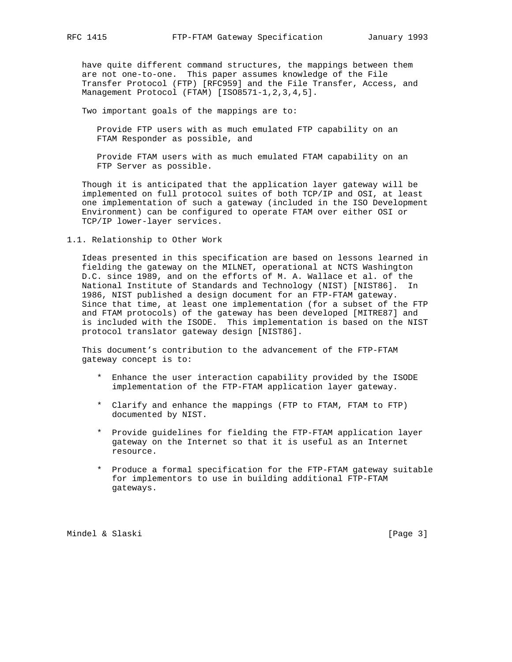have quite different command structures, the mappings between them are not one-to-one. This paper assumes knowledge of the File Transfer Protocol (FTP) [RFC959] and the File Transfer, Access, and Management Protocol (FTAM) [ISO8571-1, 2, 3, 4, 5].

Two important goals of the mappings are to:

 Provide FTP users with as much emulated FTP capability on an FTAM Responder as possible, and

 Provide FTAM users with as much emulated FTAM capability on an FTP Server as possible.

 Though it is anticipated that the application layer gateway will be implemented on full protocol suites of both TCP/IP and OSI, at least one implementation of such a gateway (included in the ISO Development Environment) can be configured to operate FTAM over either OSI or TCP/IP lower-layer services.

1.1. Relationship to Other Work

 Ideas presented in this specification are based on lessons learned in fielding the gateway on the MILNET, operational at NCTS Washington D.C. since 1989, and on the efforts of M. A. Wallace et al. of the National Institute of Standards and Technology (NIST) [NIST86]. In 1986, NIST published a design document for an FTP-FTAM gateway. Since that time, at least one implementation (for a subset of the FTP and FTAM protocols) of the gateway has been developed [MITRE87] and is included with the ISODE. This implementation is based on the NIST protocol translator gateway design [NIST86].

 This document's contribution to the advancement of the FTP-FTAM gateway concept is to:

- \* Enhance the user interaction capability provided by the ISODE implementation of the FTP-FTAM application layer gateway.
- \* Clarify and enhance the mappings (FTP to FTAM, FTAM to FTP) documented by NIST.
- \* Provide guidelines for fielding the FTP-FTAM application layer gateway on the Internet so that it is useful as an Internet resource.
- \* Produce a formal specification for the FTP-FTAM gateway suitable for implementors to use in building additional FTP-FTAM gateways.

Mindel & Slaski [Page 3]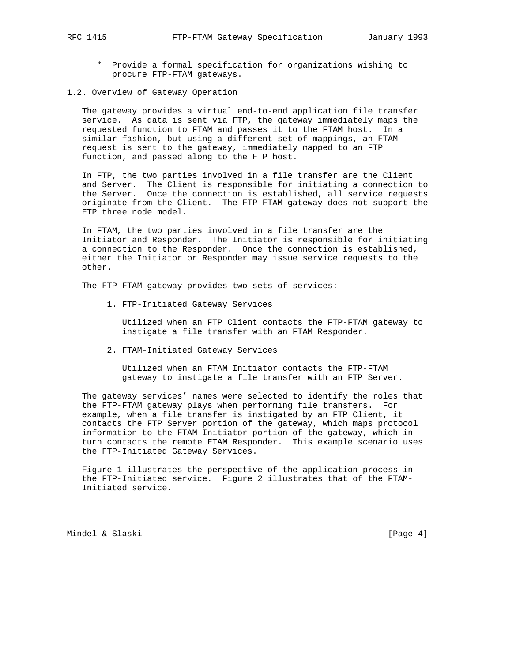- \* Provide a formal specification for organizations wishing to procure FTP-FTAM gateways.
- 1.2. Overview of Gateway Operation

 The gateway provides a virtual end-to-end application file transfer service. As data is sent via FTP, the gateway immediately maps the requested function to FTAM and passes it to the FTAM host. In a similar fashion, but using a different set of mappings, an FTAM request is sent to the gateway, immediately mapped to an FTP function, and passed along to the FTP host.

 In FTP, the two parties involved in a file transfer are the Client and Server. The Client is responsible for initiating a connection to the Server. Once the connection is established, all service requests originate from the Client. The FTP-FTAM gateway does not support the FTP three node model.

 In FTAM, the two parties involved in a file transfer are the Initiator and Responder. The Initiator is responsible for initiating a connection to the Responder. Once the connection is established, either the Initiator or Responder may issue service requests to the other.

The FTP-FTAM gateway provides two sets of services:

1. FTP-Initiated Gateway Services

 Utilized when an FTP Client contacts the FTP-FTAM gateway to instigate a file transfer with an FTAM Responder.

2. FTAM-Initiated Gateway Services

 Utilized when an FTAM Initiator contacts the FTP-FTAM gateway to instigate a file transfer with an FTP Server.

 The gateway services' names were selected to identify the roles that the FTP-FTAM gateway plays when performing file transfers. For example, when a file transfer is instigated by an FTP Client, it contacts the FTP Server portion of the gateway, which maps protocol information to the FTAM Initiator portion of the gateway, which in turn contacts the remote FTAM Responder. This example scenario uses the FTP-Initiated Gateway Services.

 Figure 1 illustrates the perspective of the application process in the FTP-Initiated service. Figure 2 illustrates that of the FTAM- Initiated service.

Mindel & Slaski (Page 4)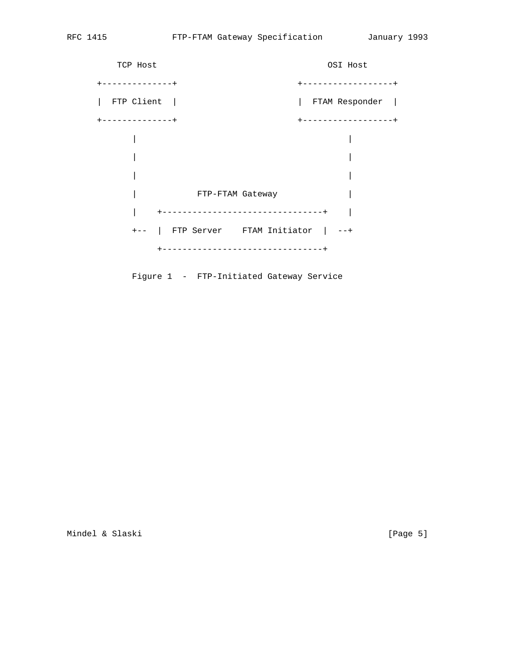TCP Host **OSI** Host +--------------+ +------------------+ | FTP Client | | FTAM Responder | +--------------+ +------------------+ | | | | | | | FTP-FTAM Gateway |

> | +--------------------------------+ | +-- | FTP Server FTAM Initiator | --+ +--------------------------------+

Figure 1 - FTP-Initiated Gateway Service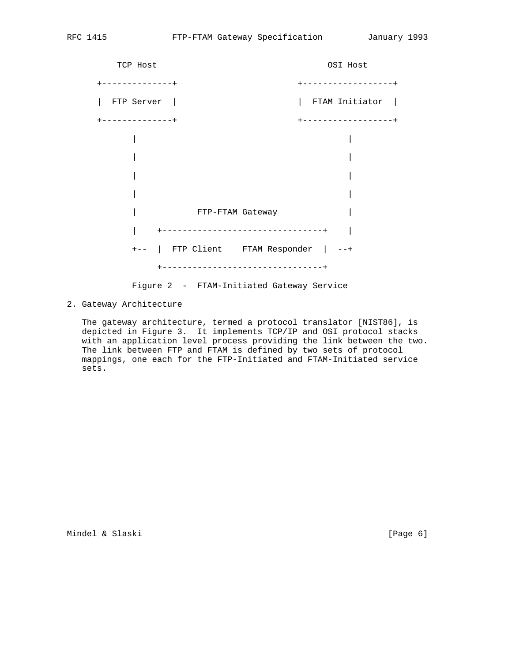```
TCP Host CONTROL
  +--------------+ +------------------+
  | FTP Server | | FTAM Initiator |
  +--------------+ +------------------+
| |
| |
| |
| |
      | FTP-FTAM Gateway |
      | +--------------------------------+ |
      +-- | FTP Client FTAM Responder | --+
        +--------------------------------+
      Figure 2 - FTAM-Initiated Gateway Service
```
2. Gateway Architecture

 The gateway architecture, termed a protocol translator [NIST86], is depicted in Figure 3. It implements TCP/IP and OSI protocol stacks with an application level process providing the link between the two. The link between FTP and FTAM is defined by two sets of protocol mappings, one each for the FTP-Initiated and FTAM-Initiated service sets.

Mindel & Slaski (Page 6)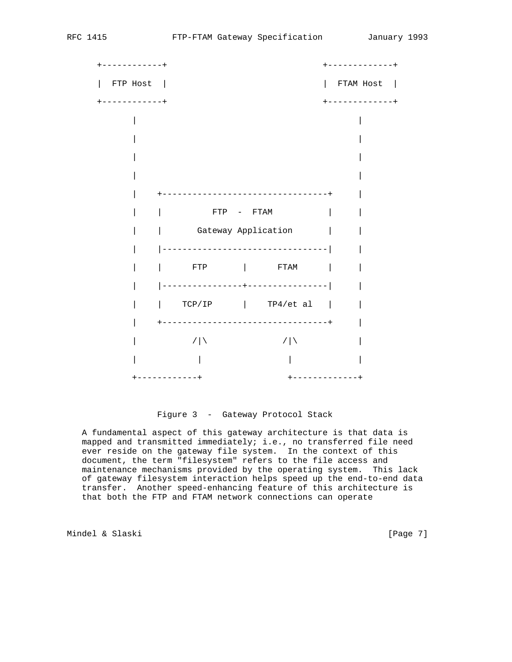

Figure 3 - Gateway Protocol Stack

 A fundamental aspect of this gateway architecture is that data is mapped and transmitted immediately; i.e., no transferred file need ever reside on the gateway file system. In the context of this document, the term "filesystem" refers to the file access and maintenance mechanisms provided by the operating system. This lack of gateway filesystem interaction helps speed up the end-to-end data transfer. Another speed-enhancing feature of this architecture is that both the FTP and FTAM network connections can operate

Mindel & Slaski [Page 7]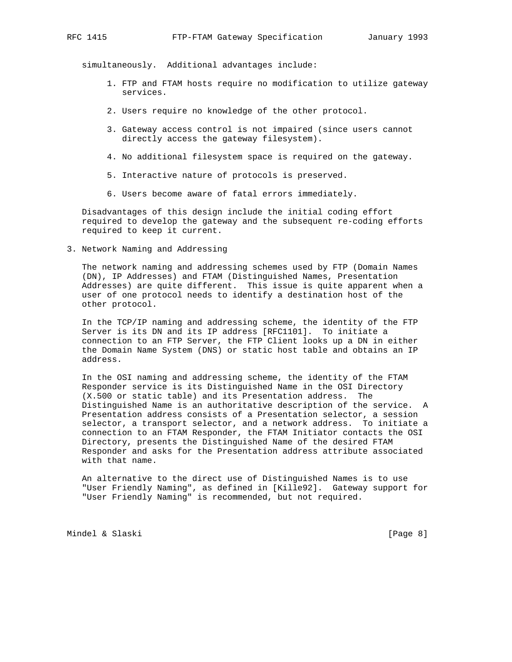simultaneously. Additional advantages include:

- 1. FTP and FTAM hosts require no modification to utilize gateway services.
- 2. Users require no knowledge of the other protocol.
- 3. Gateway access control is not impaired (since users cannot directly access the gateway filesystem).
- 4. No additional filesystem space is required on the gateway.
- 5. Interactive nature of protocols is preserved.
- 6. Users become aware of fatal errors immediately.

 Disadvantages of this design include the initial coding effort required to develop the gateway and the subsequent re-coding efforts required to keep it current.

3. Network Naming and Addressing

 The network naming and addressing schemes used by FTP (Domain Names (DN), IP Addresses) and FTAM (Distinguished Names, Presentation Addresses) are quite different. This issue is quite apparent when a user of one protocol needs to identify a destination host of the other protocol.

 In the TCP/IP naming and addressing scheme, the identity of the FTP Server is its DN and its IP address [RFC1101]. To initiate a connection to an FTP Server, the FTP Client looks up a DN in either the Domain Name System (DNS) or static host table and obtains an IP address.

 In the OSI naming and addressing scheme, the identity of the FTAM Responder service is its Distinguished Name in the OSI Directory (X.500 or static table) and its Presentation address. The Distinguished Name is an authoritative description of the service. A Presentation address consists of a Presentation selector, a session selector, a transport selector, and a network address. To initiate a connection to an FTAM Responder, the FTAM Initiator contacts the OSI Directory, presents the Distinguished Name of the desired FTAM Responder and asks for the Presentation address attribute associated with that name.

 An alternative to the direct use of Distinguished Names is to use "User Friendly Naming", as defined in [Kille92]. Gateway support for "User Friendly Naming" is recommended, but not required.

Mindel & Slaski [Page 8]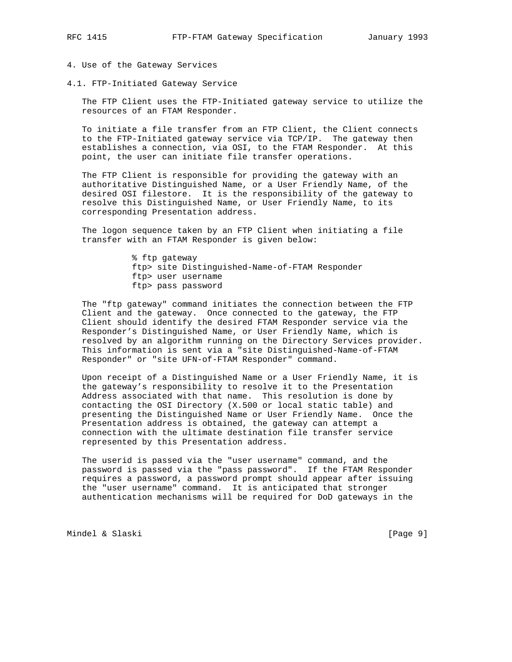# 4. Use of the Gateway Services

4.1. FTP-Initiated Gateway Service

 The FTP Client uses the FTP-Initiated gateway service to utilize the resources of an FTAM Responder.

 To initiate a file transfer from an FTP Client, the Client connects to the FTP-Initiated gateway service via TCP/IP. The gateway then establishes a connection, via OSI, to the FTAM Responder. At this point, the user can initiate file transfer operations.

 The FTP Client is responsible for providing the gateway with an authoritative Distinguished Name, or a User Friendly Name, of the desired OSI filestore. It is the responsibility of the gateway to resolve this Distinguished Name, or User Friendly Name, to its corresponding Presentation address.

 The logon sequence taken by an FTP Client when initiating a file transfer with an FTAM Responder is given below:

> % ftp gateway ftp> site Distinguished-Name-of-FTAM Responder ftp> user username ftp> pass password

 The "ftp gateway" command initiates the connection between the FTP Client and the gateway. Once connected to the gateway, the FTP Client should identify the desired FTAM Responder service via the Responder's Distinguished Name, or User Friendly Name, which is resolved by an algorithm running on the Directory Services provider. This information is sent via a "site Distinguished-Name-of-FTAM Responder" or "site UFN-of-FTAM Responder" command.

 Upon receipt of a Distinguished Name or a User Friendly Name, it is the gateway's responsibility to resolve it to the Presentation Address associated with that name. This resolution is done by contacting the OSI Directory (X.500 or local static table) and presenting the Distinguished Name or User Friendly Name. Once the Presentation address is obtained, the gateway can attempt a connection with the ultimate destination file transfer service represented by this Presentation address.

 The userid is passed via the "user username" command, and the password is passed via the "pass password". If the FTAM Responder requires a password, a password prompt should appear after issuing the "user username" command. It is anticipated that stronger authentication mechanisms will be required for DoD gateways in the

Mindel & Slaski (Page 9)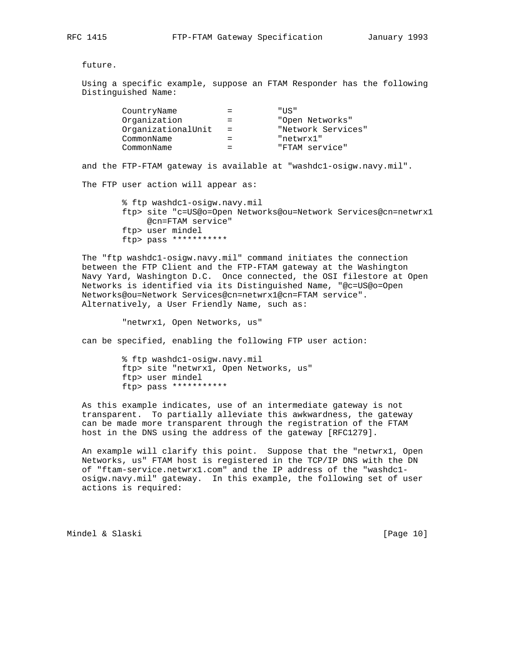future.

 Using a specific example, suppose an FTAM Responder has the following Distinguished Name:

|     | "TIS"              |
|-----|--------------------|
| $=$ | "Open Networks"    |
| $=$ | "Network Services" |
|     | "netwrx1"          |
|     | "FTAM service"     |
|     |                    |

and the FTP-FTAM gateway is available at "washdc1-osigw.navy.mil".

The FTP user action will appear as:

 % ftp washdc1-osigw.navy.mil ftp> site "c=US@o=Open Networks@ou=Network Services@cn=netwrx1 @cn=FTAM service" ftp> user mindel ftp> pass \*\*\*\*\*\*\*\*\*\*\*

 The "ftp washdc1-osigw.navy.mil" command initiates the connection between the FTP Client and the FTP-FTAM gateway at the Washington Navy Yard, Washington D.C. Once connected, the OSI filestore at Open Networks is identified via its Distinguished Name, "@c=US@o=Open Networks@ou=Network Services@cn=netwrx1@cn=FTAM service". Alternatively, a User Friendly Name, such as:

"netwrx1, Open Networks, us"

can be specified, enabling the following FTP user action:

 % ftp washdc1-osigw.navy.mil ftp> site "netwrx1, Open Networks, us" ftp> user mindel ftp> pass \*\*\*\*\*\*\*\*\*\*\*

 As this example indicates, use of an intermediate gateway is not transparent. To partially alleviate this awkwardness, the gateway can be made more transparent through the registration of the FTAM host in the DNS using the address of the gateway [RFC1279].

 An example will clarify this point. Suppose that the "netwrx1, Open Networks, us" FTAM host is registered in the TCP/IP DNS with the DN of "ftam-service.netwrx1.com" and the IP address of the "washdc1 osigw.navy.mil" gateway. In this example, the following set of user actions is required:

Mindel & Slaski [Page 10]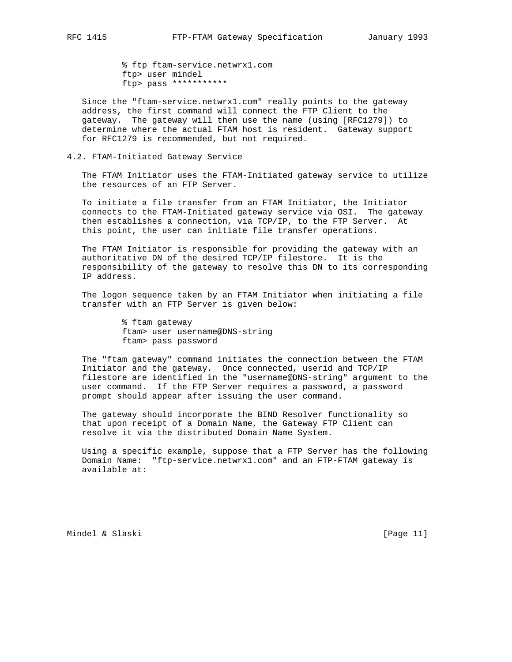% ftp ftam-service.netwrx1.com ftp> user mindel

ftp> pass \*\*\*\*\*\*\*\*\*\*\*

 Since the "ftam-service.netwrx1.com" really points to the gateway address, the first command will connect the FTP Client to the gateway. The gateway will then use the name (using [RFC1279]) to determine where the actual FTAM host is resident. Gateway support for RFC1279 is recommended, but not required.

#### 4.2. FTAM-Initiated Gateway Service

 The FTAM Initiator uses the FTAM-Initiated gateway service to utilize the resources of an FTP Server.

 To initiate a file transfer from an FTAM Initiator, the Initiator connects to the FTAM-Initiated gateway service via OSI. The gateway then establishes a connection, via TCP/IP, to the FTP Server. At this point, the user can initiate file transfer operations.

 The FTAM Initiator is responsible for providing the gateway with an authoritative DN of the desired TCP/IP filestore. It is the responsibility of the gateway to resolve this DN to its corresponding IP address.

 The logon sequence taken by an FTAM Initiator when initiating a file transfer with an FTP Server is given below:

> % ftam gateway ftam> user username@DNS-string ftam> pass password

 The "ftam gateway" command initiates the connection between the FTAM Initiator and the gateway. Once connected, userid and TCP/IP filestore are identified in the "username@DNS-string" argument to the user command. If the FTP Server requires a password, a password prompt should appear after issuing the user command.

 The gateway should incorporate the BIND Resolver functionality so that upon receipt of a Domain Name, the Gateway FTP Client can resolve it via the distributed Domain Name System.

 Using a specific example, suppose that a FTP Server has the following Domain Name: "ftp-service.netwrx1.com" and an FTP-FTAM gateway is available at:

Mindel & Slaski [Page 11]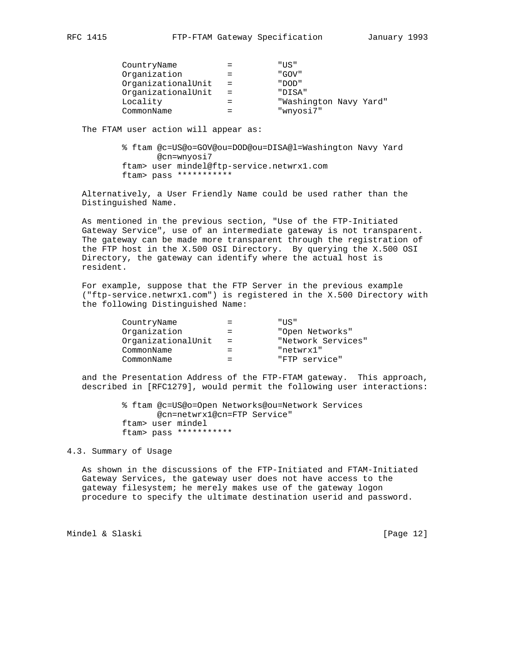| CountryName        |     | " TJS "                |  |
|--------------------|-----|------------------------|--|
| Organization       |     | " GOV"                 |  |
| OrganizationalUnit | $=$ | " חמם "                |  |
| OrganizationalUnit | $=$ | "DISA"                 |  |
| Locality           |     | "Washington Navy Yard" |  |
| CommonName         |     | "wnyosi7"              |  |

The FTAM user action will appear as:

 % ftam @c=US@o=GOV@ou=DOD@ou=DISA@l=Washington Navy Yard @cn=wnyosi7 ftam> user mindel@ftp-service.netwrx1.com ftam> pass \*\*\*\*\*\*\*\*\*\*\*

 Alternatively, a User Friendly Name could be used rather than the Distinguished Name.

 As mentioned in the previous section, "Use of the FTP-Initiated Gateway Service", use of an intermediate gateway is not transparent. The gateway can be made more transparent through the registration of the FTP host in the X.500 OSI Directory. By querying the X.500 OSI Directory, the gateway can identify where the actual host is resident.

 For example, suppose that the FTP Server in the previous example ("ftp-service.netwrx1.com") is registered in the X.500 Directory with the following Distinguished Name:

|            | CountryName        |     | "IIS"              |
|------------|--------------------|-----|--------------------|
|            | Organization       | $=$ | "Open Networks"    |
|            | OrganizationalUnit | $=$ | "Network Services" |
| CommonName |                    |     | "netwrx1"          |
| CommonName |                    | $=$ | "FTP service"      |
|            |                    |     |                    |

 and the Presentation Address of the FTP-FTAM gateway. This approach, described in [RFC1279], would permit the following user interactions:

> % ftam @c=US@o=Open Networks@ou=Network Services @cn=netwrx1@cn=FTP Service" ftam> user mindel ftam> pass \*\*\*\*\*\*\*\*\*\*\*

4.3. Summary of Usage

 As shown in the discussions of the FTP-Initiated and FTAM-Initiated Gateway Services, the gateway user does not have access to the gateway filesystem; he merely makes use of the gateway logon procedure to specify the ultimate destination userid and password.

Mindel & Slaski [Page 12]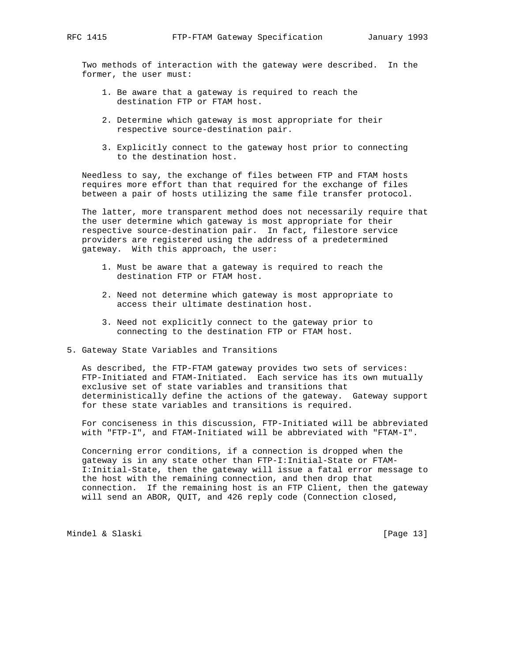Two methods of interaction with the gateway were described. In the former, the user must:

- 1. Be aware that a gateway is required to reach the destination FTP or FTAM host.
- 2. Determine which gateway is most appropriate for their respective source-destination pair.
- 3. Explicitly connect to the gateway host prior to connecting to the destination host.

 Needless to say, the exchange of files between FTP and FTAM hosts requires more effort than that required for the exchange of files between a pair of hosts utilizing the same file transfer protocol.

 The latter, more transparent method does not necessarily require that the user determine which gateway is most appropriate for their respective source-destination pair. In fact, filestore service providers are registered using the address of a predetermined gateway. With this approach, the user:

- 1. Must be aware that a gateway is required to reach the destination FTP or FTAM host.
- 2. Need not determine which gateway is most appropriate to access their ultimate destination host.
- 3. Need not explicitly connect to the gateway prior to connecting to the destination FTP or FTAM host.
- 5. Gateway State Variables and Transitions

 As described, the FTP-FTAM gateway provides two sets of services: FTP-Initiated and FTAM-Initiated. Each service has its own mutually exclusive set of state variables and transitions that deterministically define the actions of the gateway. Gateway support for these state variables and transitions is required.

 For conciseness in this discussion, FTP-Initiated will be abbreviated with "FTP-I", and FTAM-Initiated will be abbreviated with "FTAM-I".

 Concerning error conditions, if a connection is dropped when the gateway is in any state other than FTP-I:Initial-State or FTAM- I:Initial-State, then the gateway will issue a fatal error message to the host with the remaining connection, and then drop that connection. If the remaining host is an FTP Client, then the gateway will send an ABOR, QUIT, and 426 reply code (Connection closed,

Mindel & Slaski [Page 13]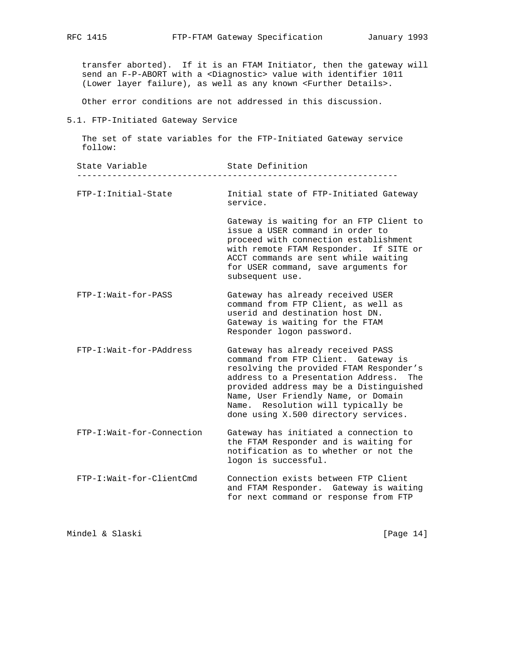transfer aborted). If it is an FTAM Initiator, then the gateway will send an F-P-ABORT with a <Diagnostic> value with identifier 1011 (Lower layer failure), as well as any known <Further Details>.

Other error conditions are not addressed in this discussion.

## 5.1. FTP-Initiated Gateway Service

 The set of state variables for the FTP-Initiated Gateway service follow:

| State Variable            | State Definition                                                                                                                                                                                                                                                                                                                 |
|---------------------------|----------------------------------------------------------------------------------------------------------------------------------------------------------------------------------------------------------------------------------------------------------------------------------------------------------------------------------|
| FTP-I: Initial-State      | Initial state of FTP-Initiated Gateway<br>service.                                                                                                                                                                                                                                                                               |
|                           | Gateway is waiting for an FTP Client to<br>issue a USER command in order to<br>proceed with connection establishment<br>with remote FTAM Responder. If SITE or<br>ACCT commands are sent while waiting<br>for USER command, save arguments for<br>subsequent use.                                                                |
| $FTP-I:Wait-for-PASS$     | Gateway has already received USER<br>command from FTP Client, as well as<br>userid and destination host DN.<br>Gateway is waiting for the FTAM<br>Responder logon password.                                                                                                                                                      |
| FTP-I:Wait-for-PAddress   | Gateway has already received PASS<br>command from FTP Client. Gateway is<br>resolving the provided FTAM Responder's<br>address to a Presentation Address.<br>The<br>provided address may be a Distinguished<br>Name, User Friendly Name, or Domain<br>Name. Resolution will typically be<br>done using X.500 directory services. |
| FTP-I:Wait-for-Connection | Gateway has initiated a connection to<br>the FTAM Responder and is waiting for<br>notification as to whether or not the<br>logon is successful.                                                                                                                                                                                  |
| FTP-I:Wait-for-ClientCmd  | Connection exists between FTP Client<br>and FTAM Responder. Gateway is waiting<br>for next command or response from FTP                                                                                                                                                                                                          |

Mindel & Slaski [Page 14]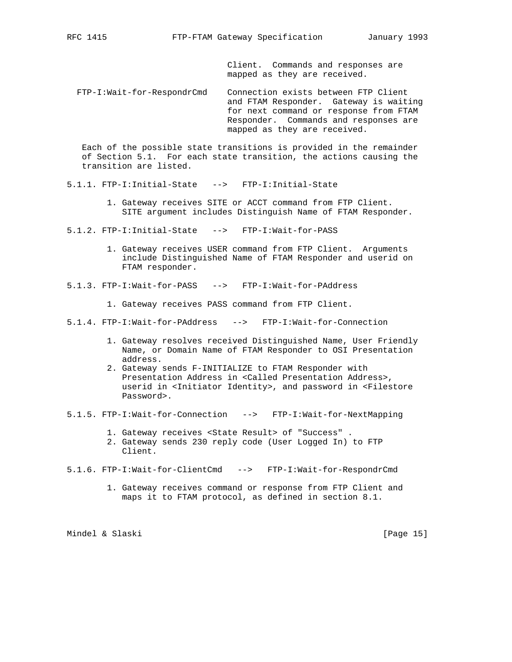Client. Commands and responses are mapped as they are received.

 FTP-I:Wait-for-RespondrCmd Connection exists between FTP Client and FTAM Responder. Gateway is waiting for next command or response from FTAM Responder. Commands and responses are mapped as they are received.

 Each of the possible state transitions is provided in the remainder of Section 5.1. For each state transition, the actions causing the transition are listed.

- 5.1.1. FTP-I:Initial-State --> FTP-I:Initial-State
	- 1. Gateway receives SITE or ACCT command from FTP Client. SITE argument includes Distinguish Name of FTAM Responder.
- 5.1.2. FTP-I:Initial-State --> FTP-I:Wait-for-PASS
	- 1. Gateway receives USER command from FTP Client. Arguments include Distinguished Name of FTAM Responder and userid on FTAM responder.
- 5.1.3. FTP-I:Wait-for-PASS --> FTP-I:Wait-for-PAddress
	- 1. Gateway receives PASS command from FTP Client.
- 5.1.4. FTP-I:Wait-for-PAddress --> FTP-I:Wait-for-Connection
	- 1. Gateway resolves received Distinguished Name, User Friendly Name, or Domain Name of FTAM Responder to OSI Presentation address.
	- 2. Gateway sends F-INITIALIZE to FTAM Responder with Presentation Address in <Called Presentation Address>, userid in <Initiator Identity>, and password in <Filestore Password>.
- 5.1.5. FTP-I:Wait-for-Connection --> FTP-I:Wait-for-NextMapping
	- 1. Gateway receives <State Result> of "Success" . 2. Gateway sends 230 reply code (User Logged In) to FTP Client.
- 5.1.6. FTP-I:Wait-for-ClientCmd --> FTP-I:Wait-for-RespondrCmd
	- 1. Gateway receives command or response from FTP Client and maps it to FTAM protocol, as defined in section 8.1.

Mindel & Slaski [Page 15]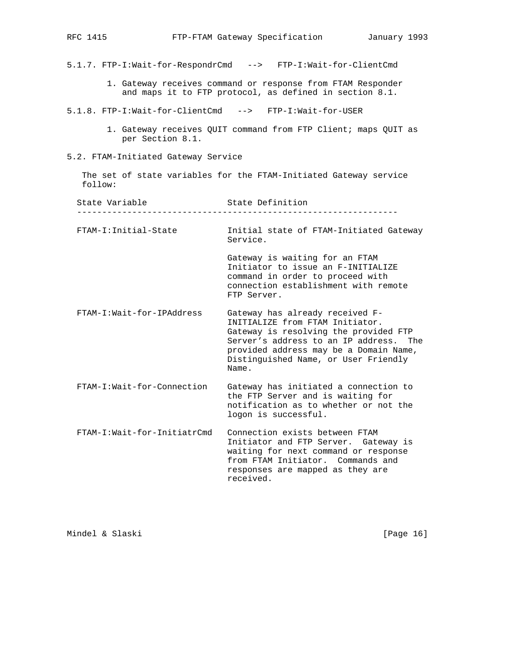| RFC 1415 |                                                                                                                        |                  | FTP-FTAM Gateway Specification                                                                                                                                                                                                          | January 1993 |
|----------|------------------------------------------------------------------------------------------------------------------------|------------------|-----------------------------------------------------------------------------------------------------------------------------------------------------------------------------------------------------------------------------------------|--------------|
|          | 5.1.7. FTP-I:Wait-for-RespondrCmd --> FTP-I:Wait-for-ClientCmd                                                         |                  |                                                                                                                                                                                                                                         |              |
|          | 1. Gateway receives command or response from FTAM Responder<br>and maps it to FTP protocol, as defined in section 8.1. |                  |                                                                                                                                                                                                                                         |              |
|          | 5.1.8. FTP-I:Wait-for-ClientCmd --> FTP-I:Wait-for-USER                                                                |                  |                                                                                                                                                                                                                                         |              |
|          | 1. Gateway receives QUIT command from FTP Client; maps QUIT as<br>per Section 8.1.                                     |                  |                                                                                                                                                                                                                                         |              |
|          | 5.2. FTAM-Initiated Gateway Service                                                                                    |                  |                                                                                                                                                                                                                                         |              |
| follow:  | The set of state variables for the FTAM-Initiated Gateway service                                                      |                  |                                                                                                                                                                                                                                         |              |
|          | State Variable                                                                                                         | State Definition |                                                                                                                                                                                                                                         |              |
|          | FTAM-I:Initial-State                                                                                                   | Service.         | Initial state of FTAM-Initiated Gateway                                                                                                                                                                                                 |              |
|          |                                                                                                                        | FTP Server.      | Gateway is waiting for an FTAM<br>Initiator to issue an F-INITIALIZE<br>command in order to proceed with<br>connection establishment with remote                                                                                        |              |
|          | FTAM-I:Wait-for-IPAddress                                                                                              | Name.            | Gateway has already received F-<br>INITIALIZE from FTAM Initiator.<br>Gateway is resolving the provided FTP<br>Server's address to an IP address. The<br>provided address may be a Domain Name,<br>Distinguished Name, or User Friendly |              |
|          | FTAM-I:Wait-for-Connection                                                                                             |                  | Gateway has initiated a connection to<br>the FTP Server and is waiting for<br>notification as to whether or not the<br>logon is successful.                                                                                             |              |
|          | FTAM-I:Wait-for-InitiatrCmd                                                                                            | received.        | Connection exists between FTAM<br>Initiator and FTP Server. Gateway is<br>waiting for next command or response<br>from FTAM Initiator, Commands and<br>responses are mapped as they are                                                 |              |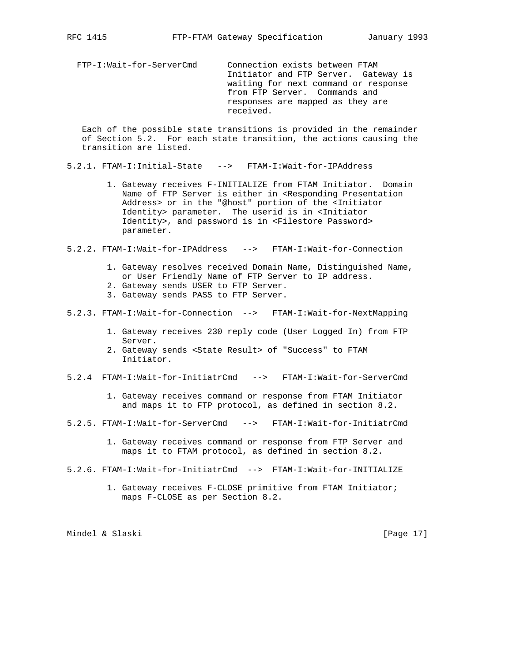FTP-I:Wait-for-ServerCmd Connection exists between FTAM Initiator and FTP Server. Gateway is waiting for next command or response from FTP Server. Commands and responses are mapped as they are received.

 Each of the possible state transitions is provided in the remainder of Section 5.2. For each state transition, the actions causing the transition are listed.

- 5.2.1. FTAM-I:Initial-State --> FTAM-I:Wait-for-IPAddress
	- 1. Gateway receives F-INITIALIZE from FTAM Initiator. Domain Name of FTP Server is either in <Responding Presentation Address> or in the "@host" portion of the <Initiator Identity> parameter. The userid is in <Initiator Identity>, and password is in <Filestore Password> parameter.
- 5.2.2. FTAM-I:Wait-for-IPAddress --> FTAM-I:Wait-for-Connection
	- 1. Gateway resolves received Domain Name, Distinguished Name,
	- or User Friendly Name of FTP Server to IP address.
	- 2. Gateway sends USER to FTP Server.
	- 3. Gateway sends PASS to FTP Server.
- 5.2.3. FTAM-I:Wait-for-Connection --> FTAM-I:Wait-for-NextMapping
	- 1. Gateway receives 230 reply code (User Logged In) from FTP Server.
	- 2. Gateway sends <State Result> of "Success" to FTAM Initiator.
- 5.2.4 FTAM-I:Wait-for-InitiatrCmd --> FTAM-I:Wait-for-ServerCmd
	- 1. Gateway receives command or response from FTAM Initiator and maps it to FTP protocol, as defined in section 8.2.
- 5.2.5. FTAM-I:Wait-for-ServerCmd --> FTAM-I:Wait-for-InitiatrCmd
	- 1. Gateway receives command or response from FTP Server and maps it to FTAM protocol, as defined in section 8.2.
- 5.2.6. FTAM-I:Wait-for-InitiatrCmd --> FTAM-I:Wait-for-INITIALIZE
	- 1. Gateway receives F-CLOSE primitive from FTAM Initiator; maps F-CLOSE as per Section 8.2.

Mindel & Slaski [Page 17]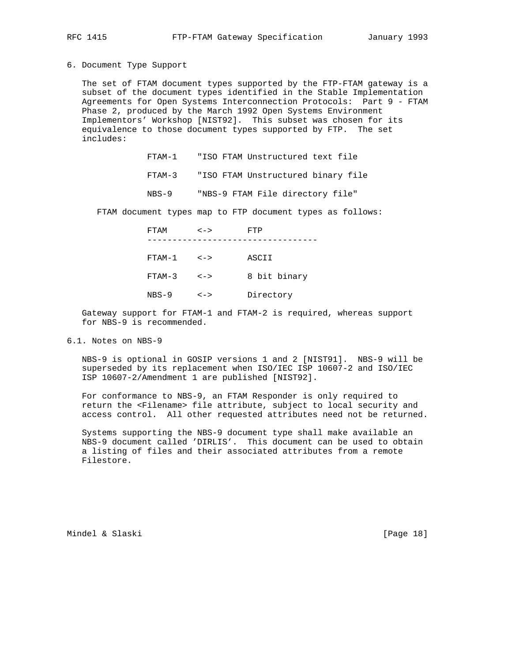6. Document Type Support

 The set of FTAM document types supported by the FTP-FTAM gateway is a subset of the document types identified in the Stable Implementation Agreements for Open Systems Interconnection Protocols: Part 9 - FTAM Phase 2, produced by the March 1992 Open Systems Environment Implementors' Workshop [NIST92]. This subset was chosen for its equivalence to those document types supported by FTP. The set includes:

> FTAM-1 "ISO FTAM Unstructured text file FTAM-3 "ISO FTAM Unstructured binary file NBS-9 "NBS-9 FTAM File directory file"

FTAM document types map to FTP document types as follows:

 FTAM <-> FTP ---------------------------------- FTAM-1 <-> ASCII FTAM-3 <-> 8 bit binary NBS-9 <-> Directory

 Gateway support for FTAM-1 and FTAM-2 is required, whereas support for NBS-9 is recommended.

6.1. Notes on NBS-9

 NBS-9 is optional in GOSIP versions 1 and 2 [NIST91]. NBS-9 will be superseded by its replacement when ISO/IEC ISP 10607-2 and ISO/IEC ISP 10607-2/Amendment 1 are published [NIST92].

 For conformance to NBS-9, an FTAM Responder is only required to return the <Filename> file attribute, subject to local security and access control. All other requested attributes need not be returned.

 Systems supporting the NBS-9 document type shall make available an NBS-9 document called 'DIRLIS'. This document can be used to obtain a listing of files and their associated attributes from a remote Filestore.

Mindel & Slaski [Page 18]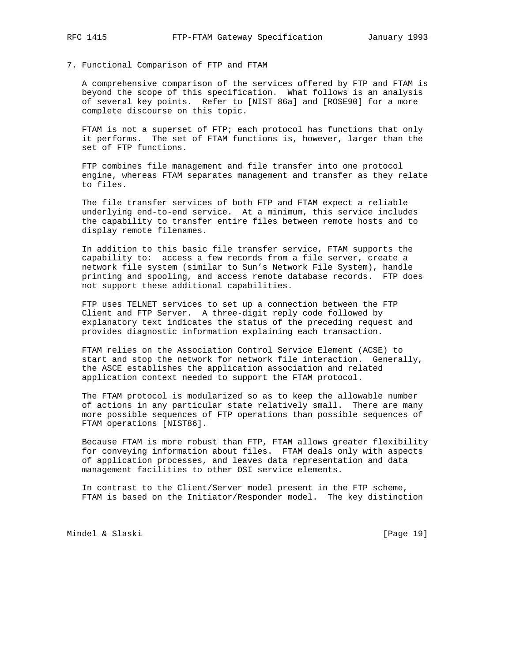7. Functional Comparison of FTP and FTAM

 A comprehensive comparison of the services offered by FTP and FTAM is beyond the scope of this specification. What follows is an analysis of several key points. Refer to [NIST 86a] and [ROSE90] for a more complete discourse on this topic.

 FTAM is not a superset of FTP; each protocol has functions that only it performs. The set of FTAM functions is, however, larger than the set of FTP functions.

 FTP combines file management and file transfer into one protocol engine, whereas FTAM separates management and transfer as they relate to files.

 The file transfer services of both FTP and FTAM expect a reliable underlying end-to-end service. At a minimum, this service includes the capability to transfer entire files between remote hosts and to display remote filenames.

 In addition to this basic file transfer service, FTAM supports the capability to: access a few records from a file server, create a network file system (similar to Sun's Network File System), handle printing and spooling, and access remote database records. FTP does not support these additional capabilities.

 FTP uses TELNET services to set up a connection between the FTP Client and FTP Server. A three-digit reply code followed by explanatory text indicates the status of the preceding request and provides diagnostic information explaining each transaction.

 FTAM relies on the Association Control Service Element (ACSE) to start and stop the network for network file interaction. Generally, the ASCE establishes the application association and related application context needed to support the FTAM protocol.

 The FTAM protocol is modularized so as to keep the allowable number of actions in any particular state relatively small. There are many more possible sequences of FTP operations than possible sequences of FTAM operations [NIST86].

 Because FTAM is more robust than FTP, FTAM allows greater flexibility for conveying information about files. FTAM deals only with aspects of application processes, and leaves data representation and data management facilities to other OSI service elements.

 In contrast to the Client/Server model present in the FTP scheme, FTAM is based on the Initiator/Responder model. The key distinction

Mindel & Slaski [Page 19]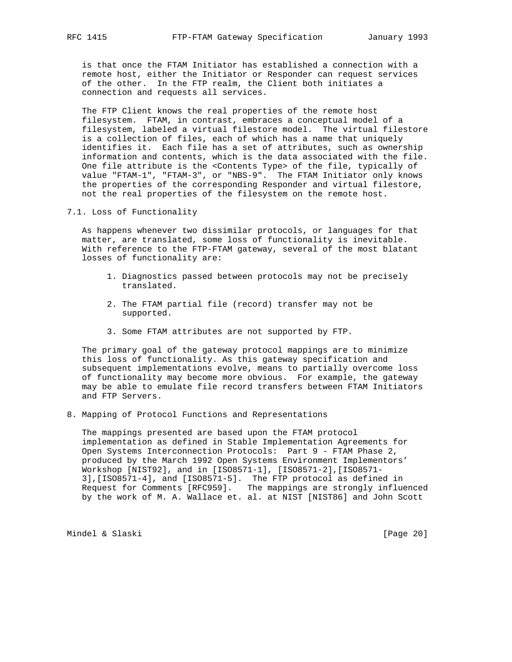is that once the FTAM Initiator has established a connection with a remote host, either the Initiator or Responder can request services of the other. In the FTP realm, the Client both initiates a connection and requests all services.

 The FTP Client knows the real properties of the remote host filesystem. FTAM, in contrast, embraces a conceptual model of a filesystem, labeled a virtual filestore model. The virtual filestore is a collection of files, each of which has a name that uniquely identifies it. Each file has a set of attributes, such as ownership information and contents, which is the data associated with the file. One file attribute is the <Contents Type> of the file, typically of value "FTAM-1", "FTAM-3", or "NBS-9". The FTAM Initiator only knows the properties of the corresponding Responder and virtual filestore, not the real properties of the filesystem on the remote host.

7.1. Loss of Functionality

 As happens whenever two dissimilar protocols, or languages for that matter, are translated, some loss of functionality is inevitable. With reference to the FTP-FTAM gateway, several of the most blatant losses of functionality are:

- 1. Diagnostics passed between protocols may not be precisely translated.
- 2. The FTAM partial file (record) transfer may not be supported.
- 3. Some FTAM attributes are not supported by FTP.

 The primary goal of the gateway protocol mappings are to minimize this loss of functionality. As this gateway specification and subsequent implementations evolve, means to partially overcome loss of functionality may become more obvious. For example, the gateway may be able to emulate file record transfers between FTAM Initiators and FTP Servers.

8. Mapping of Protocol Functions and Representations

 The mappings presented are based upon the FTAM protocol implementation as defined in Stable Implementation Agreements for Open Systems Interconnection Protocols: Part 9 - FTAM Phase 2, produced by the March 1992 Open Systems Environment Implementors' Workshop [NIST92], and in [ISO8571-1], [ISO8571-2],[ISO8571- 3],[ISO8571-4], and [ISO8571-5]. The FTP protocol as defined in Request for Comments [RFC959]. The mappings are strongly influenced by the work of M. A. Wallace et. al. at NIST [NIST86] and John Scott

Mindel & Slaski [Page 20]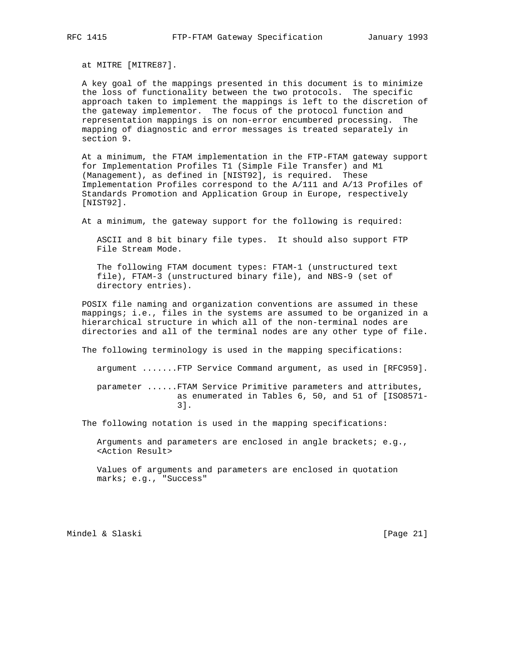at MITRE [MITRE87].

 A key goal of the mappings presented in this document is to minimize the loss of functionality between the two protocols. The specific approach taken to implement the mappings is left to the discretion of the gateway implementor. The focus of the protocol function and representation mappings is on non-error encumbered processing. The mapping of diagnostic and error messages is treated separately in section 9.

 At a minimum, the FTAM implementation in the FTP-FTAM gateway support for Implementation Profiles T1 (Simple File Transfer) and M1 (Management), as defined in [NIST92], is required. These Implementation Profiles correspond to the A/111 and A/13 Profiles of Standards Promotion and Application Group in Europe, respectively [NIST92].

At a minimum, the gateway support for the following is required:

 ASCII and 8 bit binary file types. It should also support FTP File Stream Mode.

 The following FTAM document types: FTAM-1 (unstructured text file), FTAM-3 (unstructured binary file), and NBS-9 (set of directory entries).

 POSIX file naming and organization conventions are assumed in these mappings; i.e., files in the systems are assumed to be organized in a hierarchical structure in which all of the non-terminal nodes are directories and all of the terminal nodes are any other type of file.

The following terminology is used in the mapping specifications:

argument .......FTP Service Command argument, as used in [RFC959].

 parameter ......FTAM Service Primitive parameters and attributes, as enumerated in Tables 6, 50, and 51 of [ISO8571- 3].

The following notation is used in the mapping specifications:

Arguments and parameters are enclosed in angle brackets; e.g., <Action Result>

 Values of arguments and parameters are enclosed in quotation marks; e.g., "Success"

Mindel & Slaski [Page 21]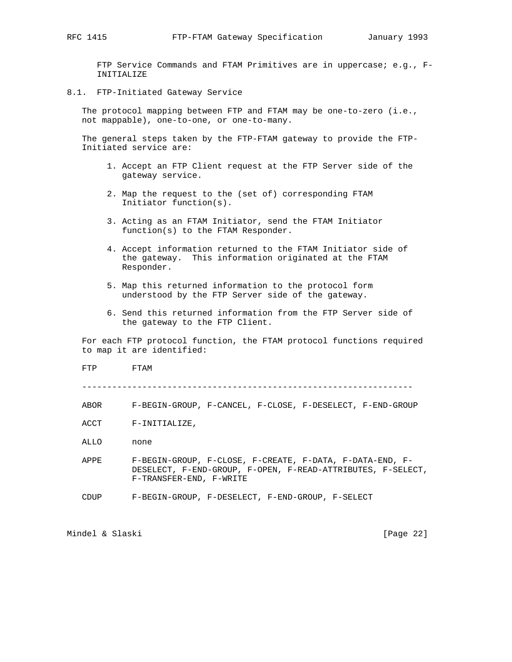FTP Service Commands and FTAM Primitives are in uppercase; e.g., F- INITIALIZE

8.1. FTP-Initiated Gateway Service

 The protocol mapping between FTP and FTAM may be one-to-zero (i.e., not mappable), one-to-one, or one-to-many.

 The general steps taken by the FTP-FTAM gateway to provide the FTP- Initiated service are:

- 1. Accept an FTP Client request at the FTP Server side of the gateway service.
- 2. Map the request to the (set of) corresponding FTAM Initiator function(s).
- 3. Acting as an FTAM Initiator, send the FTAM Initiator function(s) to the FTAM Responder.
- 4. Accept information returned to the FTAM Initiator side of the gateway. This information originated at the FTAM Responder.
- 5. Map this returned information to the protocol form understood by the FTP Server side of the gateway.
- 6. Send this returned information from the FTP Server side of the gateway to the FTP Client.

 For each FTP protocol function, the FTAM protocol functions required to map it are identified:

FTP FTAM

------------------------------------------------------------------

- ABOR F-BEGIN-GROUP, F-CANCEL, F-CLOSE, F-DESELECT, F-END-GROUP
- ACCT F-INITIALIZE,
- ALLO none
- APPE F-BEGIN-GROUP, F-CLOSE, F-CREATE, F-DATA, F-DATA-END, F- DESELECT, F-END-GROUP, F-OPEN, F-READ-ATTRIBUTES, F-SELECT, F-TRANSFER-END, F-WRITE
- CDUP F-BEGIN-GROUP, F-DESELECT, F-END-GROUP, F-SELECT

Mindel & Slaski [Page 22]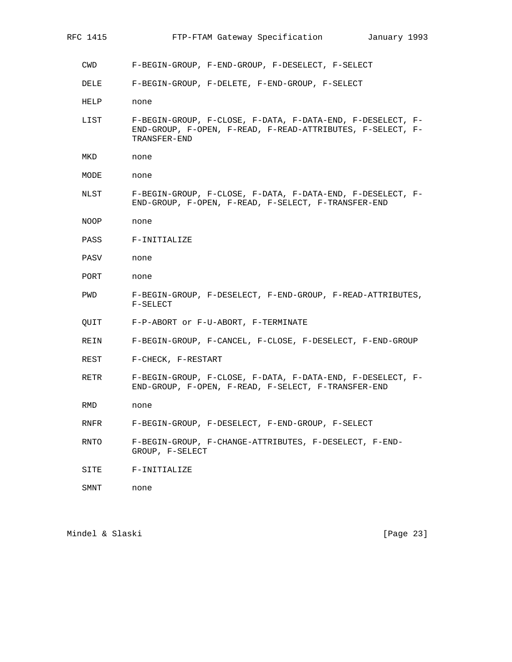| RFC 1415 | FTP-FTAM Gateway Specification                                                                                                           | January 1993 |  |
|----------|------------------------------------------------------------------------------------------------------------------------------------------|--------------|--|
| CWD      | F-BEGIN-GROUP, F-END-GROUP, F-DESELECT, F-SELECT                                                                                         |              |  |
| DELE     | F-BEGIN-GROUP, F-DELETE, F-END-GROUP, F-SELECT                                                                                           |              |  |
| HELP     | none                                                                                                                                     |              |  |
| LIST     | F-BEGIN-GROUP, F-CLOSE, F-DATA, F-DATA-END, F-DESELECT, F-<br>END-GROUP, F-OPEN, F-READ, F-READ-ATTRIBUTES, F-SELECT, F-<br>TRANSFER-END |              |  |
| MKD      | none                                                                                                                                     |              |  |
| MODE     | none                                                                                                                                     |              |  |
| NLST     | F-BEGIN-GROUP, F-CLOSE, F-DATA, F-DATA-END, F-DESELECT, F-<br>END-GROUP, F-OPEN, F-READ, F-SELECT, F-TRANSFER-END                        |              |  |
| NOOP     | none                                                                                                                                     |              |  |
| PASS     | F-INITIALIZE                                                                                                                             |              |  |
| PASV     | none                                                                                                                                     |              |  |
| PORT     | none                                                                                                                                     |              |  |
| PWD      | F-BEGIN-GROUP, F-DESELECT, F-END-GROUP, F-READ-ATTRIBUTES,<br>F-SELECT                                                                   |              |  |
| QUIT     | F-P-ABORT Or F-U-ABORT, F-TERMINATE                                                                                                      |              |  |
| REIN     | F-BEGIN-GROUP, F-CANCEL, F-CLOSE, F-DESELECT, F-END-GROUP                                                                                |              |  |
| REST     | F-CHECK, F-RESTART                                                                                                                       |              |  |
| RETR     | F-BEGIN-GROUP, F-CLOSE, F-DATA, F-DATA-END, F-DESELECT, F-<br>END-GROUP, F-OPEN, F-READ, F-SELECT, F-TRANSFER-END                        |              |  |
| RMD      | none                                                                                                                                     |              |  |
| RNFR     | F-BEGIN-GROUP, F-DESELECT, F-END-GROUP, F-SELECT                                                                                         |              |  |
| RNTO     | F-BEGIN-GROUP, F-CHANGE-ATTRIBUTES, F-DESELECT, F-END-<br>GROUP, F-SELECT                                                                |              |  |
| SITE     | F-INITIALIZE                                                                                                                             |              |  |
| SMNT     | none                                                                                                                                     |              |  |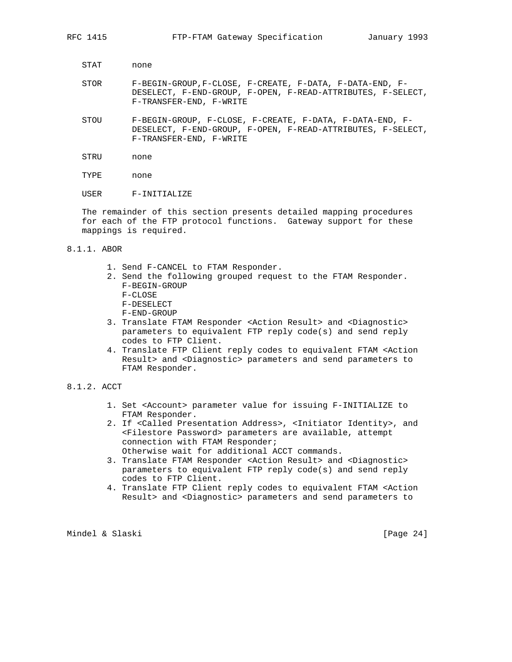STAT none

- STOR F-BEGIN-GROUP,F-CLOSE, F-CREATE, F-DATA, F-DATA-END, F- DESELECT, F-END-GROUP, F-OPEN, F-READ-ATTRIBUTES, F-SELECT, F-TRANSFER-END, F-WRITE
- STOU F-BEGIN-GROUP, F-CLOSE, F-CREATE, F-DATA, F-DATA-END, F- DESELECT, F-END-GROUP, F-OPEN, F-READ-ATTRIBUTES, F-SELECT, F-TRANSFER-END, F-WRITE
- STRU none
- TYPE none
- USER F-INITIALIZE

 The remainder of this section presents detailed mapping procedures for each of the FTP protocol functions. Gateway support for these mappings is required.

8.1.1. ABOR

- 1. Send F-CANCEL to FTAM Responder.
- 2. Send the following grouped request to the FTAM Responder. F-BEGIN-GROUP F-CLOSE F-DESELECT
	- F-END-GROUP
- 3. Translate FTAM Responder <Action Result> and <Diagnostic> parameters to equivalent FTP reply code(s) and send reply codes to FTP Client.
- 4. Translate FTP Client reply codes to equivalent FTAM <Action Result> and <Diagnostic> parameters and send parameters to FTAM Responder.

## 8.1.2. ACCT

- 1. Set <Account> parameter value for issuing F-INITIALIZE to FTAM Responder.
- 2. If <Called Presentation Address>, <Initiator Identity>, and <Filestore Password> parameters are available, attempt connection with FTAM Responder; Otherwise wait for additional ACCT commands.
- 3. Translate FTAM Responder <Action Result> and <Diagnostic> parameters to equivalent FTP reply code(s) and send reply codes to FTP Client.
- 4. Translate FTP Client reply codes to equivalent FTAM <Action Result> and <Diagnostic> parameters and send parameters to

Mindel & Slaski [Page 24]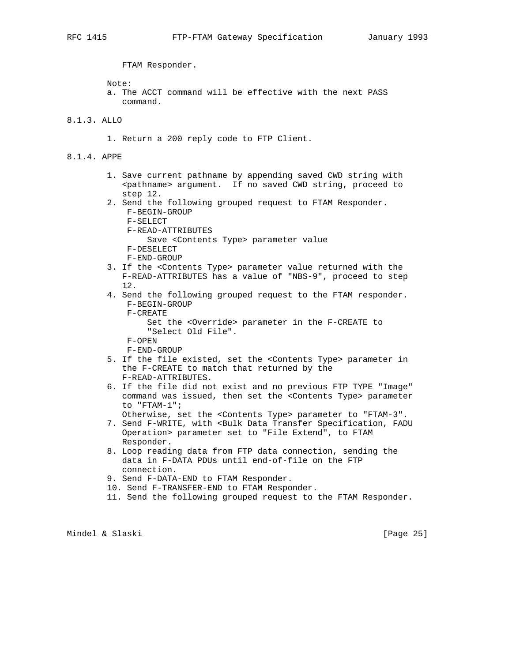FTAM Responder.

Note:

- a. The ACCT command will be effective with the next PASS command.
- 8.1.3. ALLO
	- 1. Return a 200 reply code to FTP Client.
- 8.1.4. APPE
	- 1. Save current pathname by appending saved CWD string with <pathname> argument. If no saved CWD string, proceed to step 12.
	- 2. Send the following grouped request to FTAM Responder. F-BEGIN-GROUP
		- F-SELECT
		- F-READ-ATTRIBUTES
			- Save <Contents Type> parameter value
		- F-DESELECT
		- F-END-GROUP
	- 3. If the <Contents Type> parameter value returned with the F-READ-ATTRIBUTES has a value of "NBS-9", proceed to step 12.
	- 4. Send the following grouped request to the FTAM responder. F-BEGIN-GROUP
		- F-CREATE
			- Set the <Override> parameter in the F-CREATE to "Select Old File".
		- F-OPEN
		- F-END-GROUP
	- 5. If the file existed, set the <Contents Type> parameter in the F-CREATE to match that returned by the F-READ-ATTRIBUTES.
	- 6. If the file did not exist and no previous FTP TYPE "Image" command was issued, then set the <Contents Type> parameter to "FTAM-1";
	- Otherwise, set the <Contents Type> parameter to "FTAM-3". 7. Send F-WRITE, with <Bulk Data Transfer Specification, FADU
	- Operation> parameter set to "File Extend", to FTAM Responder. 8. Loop reading data from FTP data connection, sending the
	- data in F-DATA PDUs until end-of-file on the FTP connection.
	- 9. Send F-DATA-END to FTAM Responder.
	- 10. Send F-TRANSFER-END to FTAM Responder.
	- 11. Send the following grouped request to the FTAM Responder.

Mindel & Slaski [Page 25]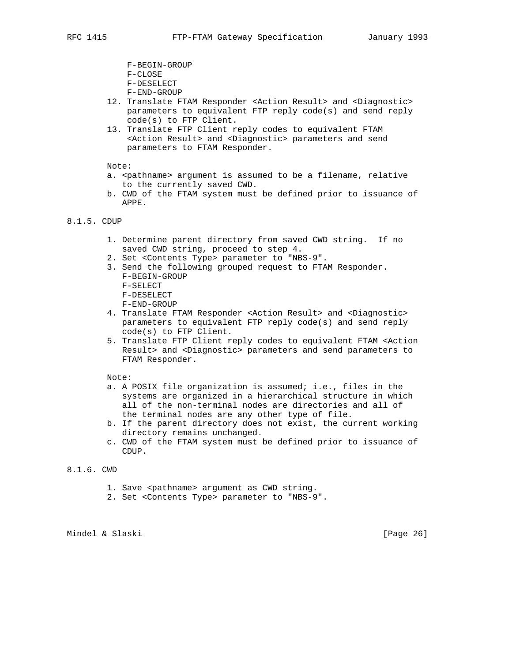F-BEGIN-GROUP F-CLOSE F-DESELECT F-END-GROUP

- 12. Translate FTAM Responder <Action Result> and <Diagnostic> parameters to equivalent FTP reply code(s) and send reply code(s) to FTP Client.
- 13. Translate FTP Client reply codes to equivalent FTAM <Action Result> and <Diagnostic> parameters and send parameters to FTAM Responder.

Note:

- a. <pathname> argument is assumed to be a filename, relative to the currently saved CWD.
- b. CWD of the FTAM system must be defined prior to issuance of APPE.

8.1.5. CDUP

- 1. Determine parent directory from saved CWD string. If no saved CWD string, proceed to step 4.
- 2. Set <Contents Type> parameter to "NBS-9".
- 3. Send the following grouped request to FTAM Responder. F-BEGIN-GROUP
	- F-SELECT F-DESELECT F-END-GROUP
- 4. Translate FTAM Responder <Action Result> and <Diagnostic> parameters to equivalent FTP reply code(s) and send reply code(s) to FTP Client.
- 5. Translate FTP Client reply codes to equivalent FTAM <Action Result> and <Diagnostic> parameters and send parameters to FTAM Responder.

Note:

- a. A POSIX file organization is assumed; i.e., files in the systems are organized in a hierarchical structure in which all of the non-terminal nodes are directories and all of the terminal nodes are any other type of file.
- b. If the parent directory does not exist, the current working directory remains unchanged.
- c. CWD of the FTAM system must be defined prior to issuance of CDUP.

8.1.6. CWD

- 1. Save <pathname> argument as CWD string.
- 2. Set <Contents Type> parameter to "NBS-9".

Mindel & Slaski [Page 26]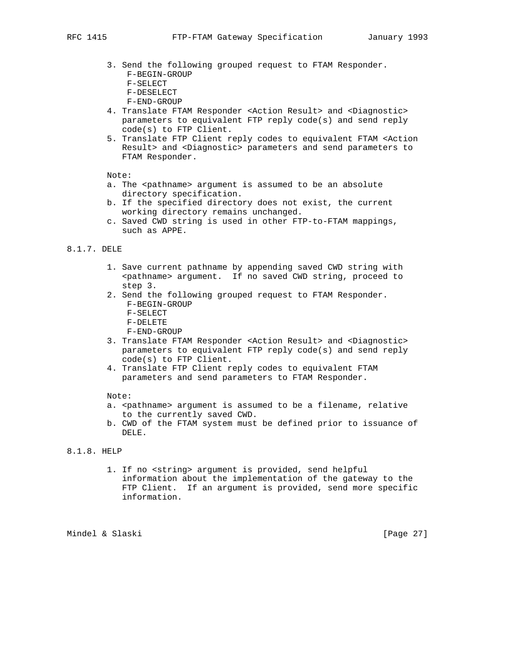- 3. Send the following grouped request to FTAM Responder. F-BEGIN-GROUP
	- F-SELECT
	- F-DESELECT
	- F-END-GROUP
- 4. Translate FTAM Responder <Action Result> and <Diagnostic> parameters to equivalent FTP reply code(s) and send reply code(s) to FTP Client.
- 5. Translate FTP Client reply codes to equivalent FTAM <Action Result> and <Diagnostic> parameters and send parameters to FTAM Responder.

- a. The <pathname> argument is assumed to be an absolute directory specification.
- b. If the specified directory does not exist, the current working directory remains unchanged.
- c. Saved CWD string is used in other FTP-to-FTAM mappings, such as APPE.

#### 8.1.7. DELE

- 1. Save current pathname by appending saved CWD string with <pathname> argument. If no saved CWD string, proceed to step 3.
- 2. Send the following grouped request to FTAM Responder. F-BEGIN-GROUP
	- F-SELECT
	- F-DELETE
	- F-END-GROUP
- 3. Translate FTAM Responder <Action Result> and <Diagnostic> parameters to equivalent FTP reply code(s) and send reply code(s) to FTP Client.
- 4. Translate FTP Client reply codes to equivalent FTAM parameters and send parameters to FTAM Responder.

Note:

- a. <pathname> argument is assumed to be a filename, relative to the currently saved CWD.
- b. CWD of the FTAM system must be defined prior to issuance of DELE.
- 8.1.8. HELP
	- 1. If no <string> argument is provided, send helpful information about the implementation of the gateway to the FTP Client. If an argument is provided, send more specific information.

Mindel & Slaski [Page 27]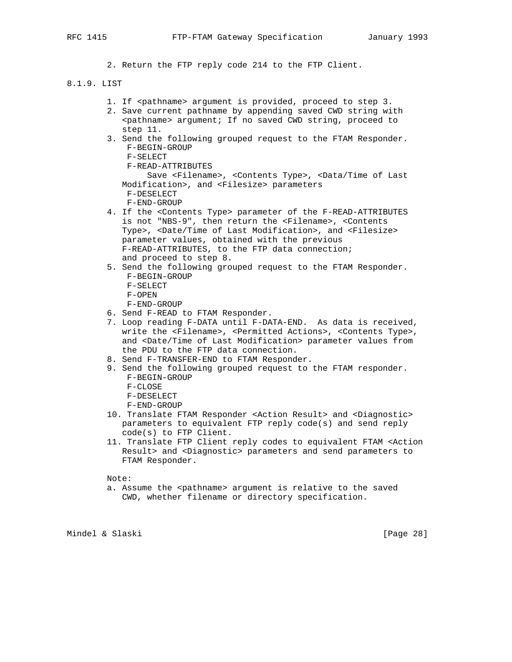2. Return the FTP reply code 214 to the FTP Client.

## 8.1.9. LIST

- 1. If <pathname> argument is provided, proceed to step 3.
- 2. Save current pathname by appending saved CWD string with <pathname> argument; If no saved CWD string, proceed to step 11.
- 3. Send the following grouped request to the FTAM Responder. F-BEGIN-GROUP
	- F-SELECT
	- F-READ-ATTRIBUTES

 Save <Filename>, <Contents Type>, <Data/Time of Last Modification>, and <Filesize> parameters

- F-DESELECT
- F-END-GROUP
- 4. If the <Contents Type> parameter of the F-READ-ATTRIBUTES is not "NBS-9", then return the <Filename>, <Contents Type>, <Date/Time of Last Modification>, and <Filesize> parameter values, obtained with the previous F-READ-ATTRIBUTES, to the FTP data connection; and proceed to step 8.
- 5. Send the following grouped request to the FTAM Responder. F-BEGIN-GROUP F-SELECT
	- F-OPEN
	- F-END-GROUP
- 6. Send F-READ to FTAM Responder.
- 7. Loop reading F-DATA until F-DATA-END. As data is received, write the <Filename>, <Permitted Actions>, <Contents Type>, and <Date/Time of Last Modification> parameter values from the PDU to the FTP data connection.
- 8. Send F-TRANSFER-END to FTAM Responder.
- 9. Send the following grouped request to the FTAM responder. F-BEGIN-GROUP
	- F-CLOSE
	- F-DESELECT
	- F-END-GROUP
- 10. Translate FTAM Responder <Action Result> and <Diagnostic> parameters to equivalent FTP reply code(s) and send reply code(s) to FTP Client.
- 11. Translate FTP Client reply codes to equivalent FTAM <Action Result> and <Diagnostic> parameters and send parameters to FTAM Responder.

Note:

a. Assume the <pathname> argument is relative to the saved CWD, whether filename or directory specification.

Mindel & Slaski [Page 28]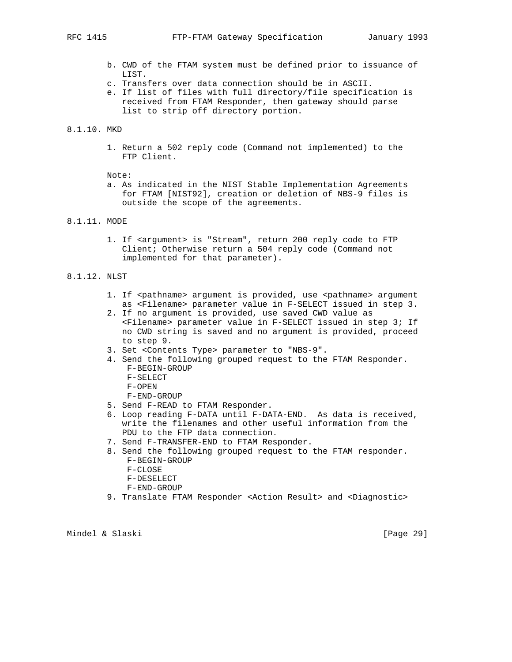- b. CWD of the FTAM system must be defined prior to issuance of LIST.
- c. Transfers over data connection should be in ASCII.
- e. If list of files with full directory/file specification is received from FTAM Responder, then gateway should parse list to strip off directory portion.

## 8.1.10. MKD

 1. Return a 502 reply code (Command not implemented) to the FTP Client.

Note:

- a. As indicated in the NIST Stable Implementation Agreements for FTAM [NIST92], creation or deletion of NBS-9 files is outside the scope of the agreements.
- 8.1.11. MODE
	- 1. If <argument> is "Stream", return 200 reply code to FTP Client; Otherwise return a 504 reply code (Command not implemented for that parameter).

## 8.1.12. NLST

- 1. If <pathname> argument is provided, use <pathname> argument as <Filename> parameter value in F-SELECT issued in step 3.
- 2. If no argument is provided, use saved CWD value as <Filename> parameter value in F-SELECT issued in step 3; If no CWD string is saved and no argument is provided, proceed to step 9.
- 3. Set <Contents Type> parameter to "NBS-9".
- 4. Send the following grouped request to the FTAM Responder. F-BEGIN-GROUP
	- F-SELECT
	- F-OPEN
	- F-END-GROUP
- 5. Send F-READ to FTAM Responder.
- 6. Loop reading F-DATA until F-DATA-END. As data is received, write the filenames and other useful information from the PDU to the FTP data connection.
- 7. Send F-TRANSFER-END to FTAM Responder.
- 8. Send the following grouped request to the FTAM responder. F-BEGIN-GROUP
	- F-CLOSE
	- F-DESELECT
	- F-END-GROUP
- 9. Translate FTAM Responder <Action Result> and <Diagnostic>

Mindel & Slaski [Page 29]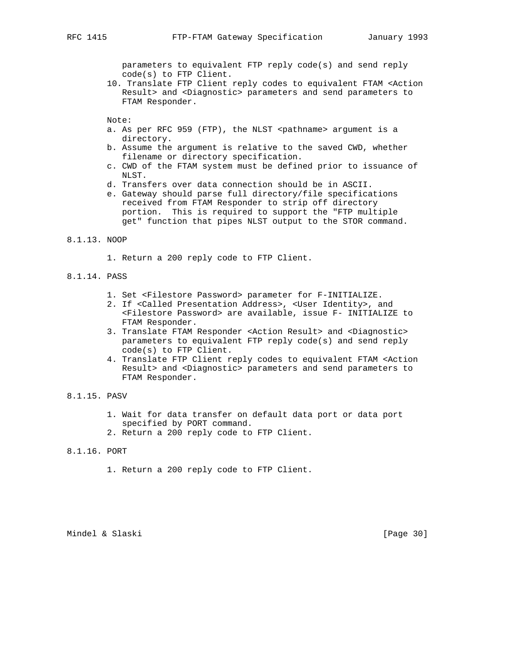parameters to equivalent FTP reply code(s) and send reply code(s) to FTP Client.

 10. Translate FTP Client reply codes to equivalent FTAM <Action Result> and <Diagnostic> parameters and send parameters to FTAM Responder.

Note:

- a. As per RFC 959 (FTP), the NLST <pathname> argument is a directory.
- b. Assume the argument is relative to the saved CWD, whether filename or directory specification.
- c. CWD of the FTAM system must be defined prior to issuance of NLST.
- d. Transfers over data connection should be in ASCII.
- e. Gateway should parse full directory/file specifications received from FTAM Responder to strip off directory portion. This is required to support the "FTP multiple get" function that pipes NLST output to the STOR command.

#### 8.1.13. NOOP

1. Return a 200 reply code to FTP Client.

## 8.1.14. PASS

- 1. Set <Filestore Password> parameter for F-INITIALIZE.
- 2. If <Called Presentation Address>, <User Identity>, and <Filestore Password> are available, issue F- INITIALIZE to FTAM Responder.
- 3. Translate FTAM Responder <Action Result> and <Diagnostic> parameters to equivalent FTP reply code(s) and send reply code(s) to FTP Client.
- 4. Translate FTP Client reply codes to equivalent FTAM <Action Result> and <Diagnostic> parameters and send parameters to FTAM Responder.
- 8.1.15. PASV
	- 1. Wait for data transfer on default data port or data port specified by PORT command.
	- 2. Return a 200 reply code to FTP Client.
- 8.1.16. PORT
	- 1. Return a 200 reply code to FTP Client.

Mindel & Slaski [Page 30]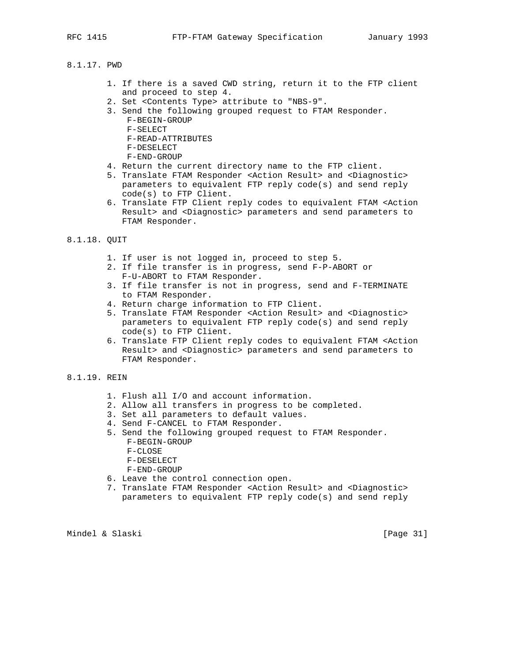## 8.1.17. PWD

- 1. If there is a saved CWD string, return it to the FTP client and proceed to step 4.
- 2. Set <Contents Type> attribute to "NBS-9".
- 3. Send the following grouped request to FTAM Responder.
	- F-BEGIN-GROUP
	- F-SELECT
	- F-READ-ATTRIBUTES
	- F-DESELECT
	- F-END-GROUP
- 4. Return the current directory name to the FTP client.
- 5. Translate FTAM Responder <Action Result> and <Diagnostic> parameters to equivalent FTP reply code(s) and send reply code(s) to FTP Client.
- 6. Translate FTP Client reply codes to equivalent FTAM <Action Result> and <Diagnostic> parameters and send parameters to FTAM Responder.
- 8.1.18. QUIT
	- 1. If user is not logged in, proceed to step 5.
	- 2. If file transfer is in progress, send F-P-ABORT or F-U-ABORT to FTAM Responder.
	- 3. If file transfer is not in progress, send and F-TERMINATE to FTAM Responder.
	- 4. Return charge information to FTP Client.
	- 5. Translate FTAM Responder <Action Result> and <Diagnostic> parameters to equivalent FTP reply code(s) and send reply code(s) to FTP Client.
	- 6. Translate FTP Client reply codes to equivalent FTAM <Action Result> and <Diagnostic> parameters and send parameters to FTAM Responder.
- 8.1.19. REIN
	- 1. Flush all I/O and account information.
	- 2. Allow all transfers in progress to be completed.
	- 3. Set all parameters to default values.
	- 4. Send F-CANCEL to FTAM Responder.
	- 5. Send the following grouped request to FTAM Responder. F-BEGIN-GROUP
		- F-CLOSE
		- F-DESELECT
		- F-END-GROUP
	- 6. Leave the control connection open.
	- 7. Translate FTAM Responder <Action Result> and <Diagnostic> parameters to equivalent FTP reply code(s) and send reply

Mindel & Slaski [Page 31]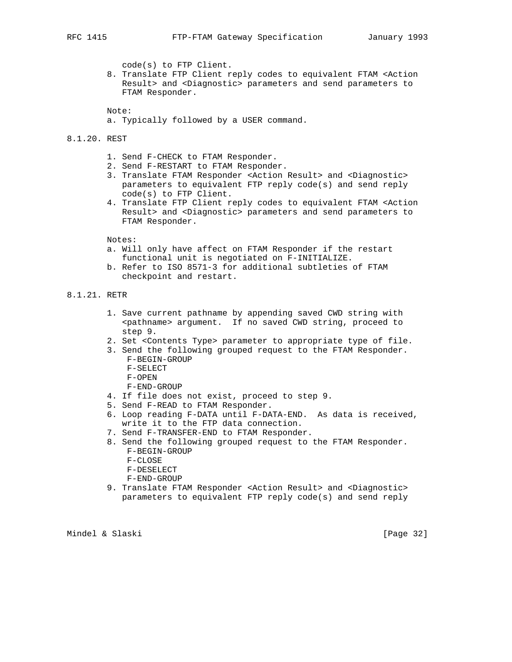code(s) to FTP Client.

 8. Translate FTP Client reply codes to equivalent FTAM <Action Result> and <Diagnostic> parameters and send parameters to FTAM Responder.

Note:

- a. Typically followed by a USER command.
- 8.1.20. REST
	- 1. Send F-CHECK to FTAM Responder.
	- 2. Send F-RESTART to FTAM Responder.
	- 3. Translate FTAM Responder <Action Result> and <Diagnostic> parameters to equivalent FTP reply code(s) and send reply code(s) to FTP Client.
	- 4. Translate FTP Client reply codes to equivalent FTAM <Action Result> and <Diagnostic> parameters and send parameters to FTAM Responder.

Notes:

- a. Will only have affect on FTAM Responder if the restart functional unit is negotiated on F-INITIALIZE.
- b. Refer to ISO 8571-3 for additional subtleties of FTAM checkpoint and restart.

8.1.21. RETR

- 1. Save current pathname by appending saved CWD string with <pathname> argument. If no saved CWD string, proceed to step 9.
- 2. Set <Contents Type> parameter to appropriate type of file.
- 3. Send the following grouped request to the FTAM Responder. F-BEGIN-GROUP
	- F-SELECT
	- F-OPEN
	- F-END-GROUP
- 4. If file does not exist, proceed to step 9.
- 5. Send F-READ to FTAM Responder.
- 6. Loop reading F-DATA until F-DATA-END. As data is received, write it to the FTP data connection.
- 7. Send F-TRANSFER-END to FTAM Responder.
- 8. Send the following grouped request to the FTAM Responder. F-BEGIN-GROUP
	- F-CLOSE
	- F-DESELECT
	- F-END-GROUP
- 9. Translate FTAM Responder <Action Result> and <Diagnostic> parameters to equivalent FTP reply code(s) and send reply

Mindel & Slaski [Page 32]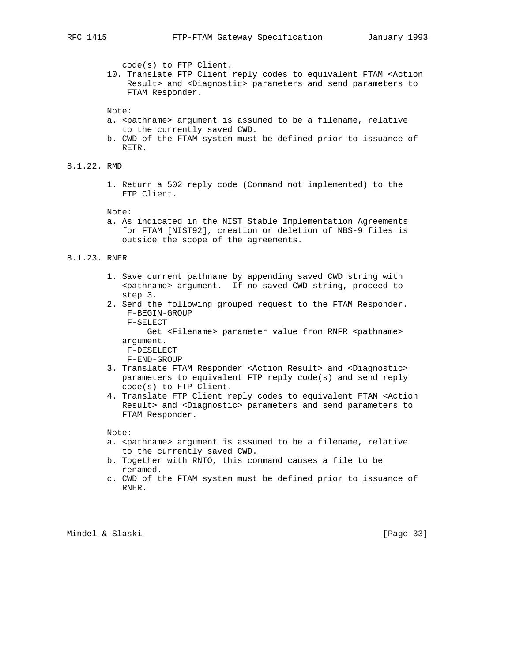code(s) to FTP Client.

 10. Translate FTP Client reply codes to equivalent FTAM <Action Result> and <Diagnostic> parameters and send parameters to FTAM Responder.

Note:

- a. < pathname> argument is assumed to be a filename, relative to the currently saved CWD.
- b. CWD of the FTAM system must be defined prior to issuance of RETR.

8.1.22. RMD

 1. Return a 502 reply code (Command not implemented) to the FTP Client.

Note:

 a. As indicated in the NIST Stable Implementation Agreements for FTAM [NIST92], creation or deletion of NBS-9 files is outside the scope of the agreements.

8.1.23. RNFR

- 1. Save current pathname by appending saved CWD string with <pathname> argument. If no saved CWD string, proceed to step 3.
- 2. Send the following grouped request to the FTAM Responder. F-BEGIN-GROUP
	- F-SELECT
	- Get <Filename> parameter value from RNFR <pathname> argument.
	- F-DESELECT

F-END-GROUP

- 3. Translate FTAM Responder <Action Result> and <Diagnostic> parameters to equivalent FTP reply code(s) and send reply code(s) to FTP Client.
- 4. Translate FTP Client reply codes to equivalent FTAM <Action Result> and <Diagnostic> parameters and send parameters to FTAM Responder.

Note:

- a. <pathname> argument is assumed to be a filename, relative to the currently saved CWD.
- b. Together with RNTO, this command causes a file to be renamed.
- c. CWD of the FTAM system must be defined prior to issuance of RNFR.

Mindel & Slaski [Page 33]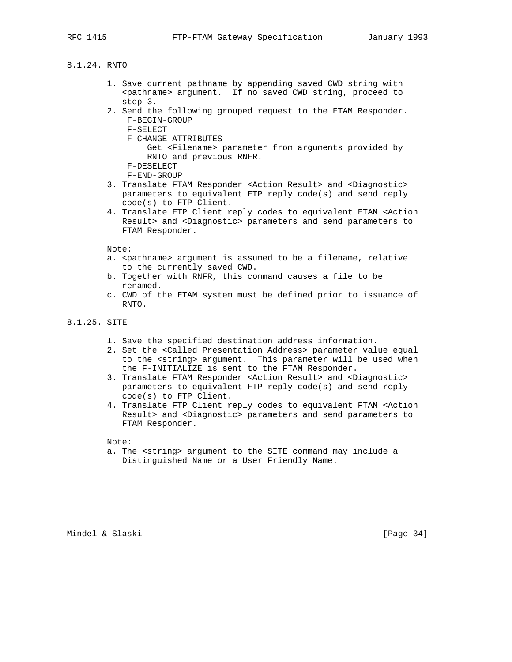## 8.1.24. RNTO

- 1. Save current pathname by appending saved CWD string with <pathname> argument. If no saved CWD string, proceed to step 3.
- 2. Send the following grouped request to the FTAM Responder. F-BEGIN-GROUP
	- F-SELECT
	- F-CHANGE-ATTRIBUTES
		- Get <Filename> parameter from arguments provided by RNTO and previous RNFR.
	- F-DESELECT
	- F-END-GROUP
- 3. Translate FTAM Responder <Action Result> and <Diagnostic> parameters to equivalent FTP reply code(s) and send reply code(s) to FTP Client.
- 4. Translate FTP Client reply codes to equivalent FTAM <Action Result> and <Diagnostic> parameters and send parameters to FTAM Responder.

Note:

- a. < pathname> argument is assumed to be a filename, relative to the currently saved CWD.
- b. Together with RNFR, this command causes a file to be renamed.
- c. CWD of the FTAM system must be defined prior to issuance of RNTO.

# 8.1.25. SITE

- 1. Save the specified destination address information.
- 2. Set the <Called Presentation Address> parameter value equal to the <string> argument. This parameter will be used when the F-INITIALIZE is sent to the FTAM Responder.
- 3. Translate FTAM Responder <Action Result> and <Diagnostic> parameters to equivalent FTP reply code(s) and send reply code(s) to FTP Client.
- 4. Translate FTP Client reply codes to equivalent FTAM <Action Result> and <Diagnostic> parameters and send parameters to FTAM Responder.

Note:

 a. The <string> argument to the SITE command may include a Distinguished Name or a User Friendly Name.

Mindel & Slaski [Page 34]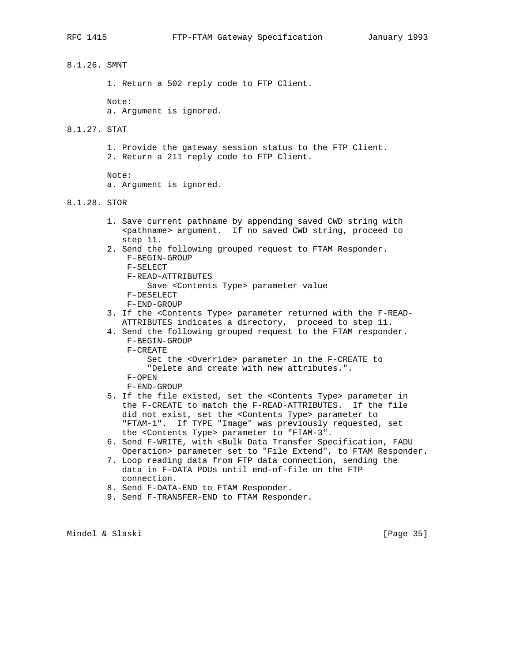8.1.26. SMNT 1. Return a 502 reply code to FTP Client. Note: a. Argument is ignored. 8.1.27. STAT 1. Provide the gateway session status to the FTP Client. 2. Return a 211 reply code to FTP Client. Note: a. Argument is ignored. 8.1.28. STOR 1. Save current pathname by appending saved CWD string with <pathname> argument. If no saved CWD string, proceed to step 11. 2. Send the following grouped request to FTAM Responder. F-BEGIN-GROUP F-SELECT F-READ-ATTRIBUTES Save <Contents Type> parameter value F-DESELECT F-END-GROUP 3. If the <Contents Type> parameter returned with the F-READ- ATTRIBUTES indicates a directory, proceed to step 11. 4. Send the following grouped request to the FTAM responder. F-BEGIN-GROUP F-CREATE Set the <Override> parameter in the F-CREATE to "Delete and create with new attributes.". F-OPEN F-END-GROUP 5. If the file existed, set the <Contents Type> parameter in the F-CREATE to match the F-READ-ATTRIBUTES. If the file did not exist, set the <Contents Type> parameter to "FTAM-1". If TYPE "Image" was previously requested, set the <Contents Type> parameter to "FTAM-3". 6. Send F-WRITE, with <Bulk Data Transfer Specification, FADU Operation> parameter set to "File Extend", to FTAM Responder. 7. Loop reading data from FTP data connection, sending the data in F-DATA PDUs until end-of-file on the FTP connection. 8. Send F-DATA-END to FTAM Responder. 9. Send F-TRANSFER-END to FTAM Responder.

Mindel & Slaski [Page 35]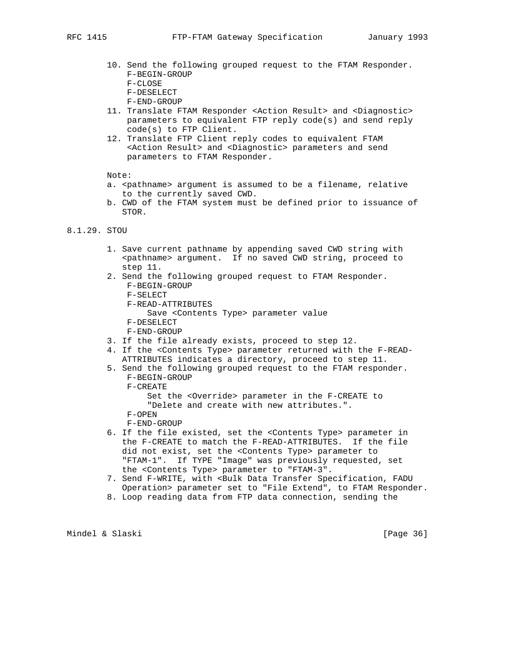10. Send the following grouped request to the FTAM Responder. F-BEGIN-GROUP

F-CLOSE

- F-DESELECT
- F-END-GROUP
- 11. Translate FTAM Responder <Action Result> and <Diagnostic> parameters to equivalent FTP reply code(s) and send reply code(s) to FTP Client.
- 12. Translate FTP Client reply codes to equivalent FTAM <Action Result> and <Diagnostic> parameters and send parameters to FTAM Responder.

Note:

- a. <pathname> argument is assumed to be a filename, relative to the currently saved CWD.
- b. CWD of the FTAM system must be defined prior to issuance of STOR.
- 8.1.29. STOU
	- 1. Save current pathname by appending saved CWD string with <pathname> argument. If no saved CWD string, proceed to step 11.
	- 2. Send the following grouped request to FTAM Responder. F-BEGIN-GROUP
		- F-SELECT
		- F-READ-ATTRIBUTES
			- Save <Contents Type> parameter value
		- F-DESELECT
		- F-END-GROUP
	- 3. If the file already exists, proceed to step 12.
	- 4. If the <Contents Type> parameter returned with the F-READ- ATTRIBUTES indicates a directory, proceed to step 11.
	- 5. Send the following grouped request to the FTAM responder. F-BEGIN-GROUP

F-CREATE

- Set the <Override> parameter in the F-CREATE to "Delete and create with new attributes.".
- F-OPEN
- F-END-GROUP
- 6. If the file existed, set the <Contents Type> parameter in the F-CREATE to match the F-READ-ATTRIBUTES. If the file did not exist, set the <Contents Type> parameter to "FTAM-1". If TYPE "Image" was previously requested, set the <Contents Type> parameter to "FTAM-3".
- 7. Send F-WRITE, with <Bulk Data Transfer Specification, FADU Operation> parameter set to "File Extend", to FTAM Responder.
- 8. Loop reading data from FTP data connection, sending the

Mindel & Slaski [Page 36]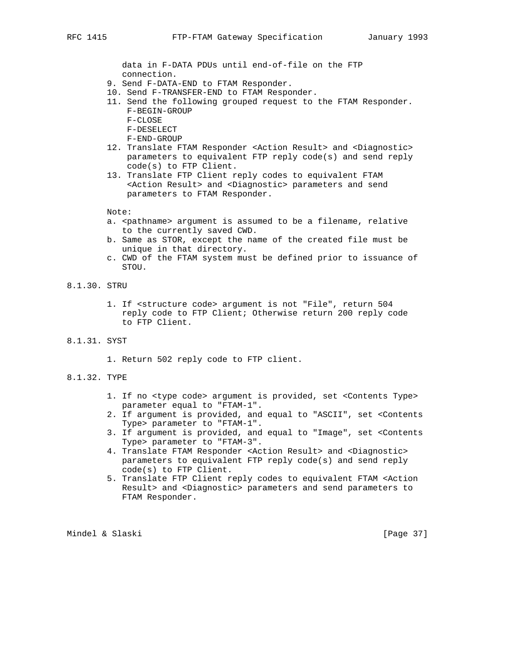data in F-DATA PDUs until end-of-file on the FTP connection.

- 9. Send F-DATA-END to FTAM Responder.
- 10. Send F-TRANSFER-END to FTAM Responder.
- 11. Send the following grouped request to the FTAM Responder. F-BEGIN-GROUP
	- F-CLOSE
	- F-DESELECT
	- F-END-GROUP
- 12. Translate FTAM Responder <Action Result> and <Diagnostic> parameters to equivalent FTP reply code(s) and send reply code(s) to FTP Client.
- 13. Translate FTP Client reply codes to equivalent FTAM <Action Result> and <Diagnostic> parameters and send parameters to FTAM Responder.

Note:

- a. <pathname> argument is assumed to be a filename, relative to the currently saved CWD.
- b. Same as STOR, except the name of the created file must be unique in that directory.
- c. CWD of the FTAM system must be defined prior to issuance of STOU.
- 8.1.30. STRU
	- 1. If <structure code> argument is not "File", return 504 reply code to FTP Client; Otherwise return 200 reply code to FTP Client.
- 8.1.31. SYST
	- 1. Return 502 reply code to FTP client.
- 8.1.32. TYPE
	- 1. If no <type code> argument is provided, set <Contents Type> parameter equal to "FTAM-1".
	- 2. If argument is provided, and equal to "ASCII", set <Contents Type> parameter to "FTAM-1".
	- 3. If argument is provided, and equal to "Image", set <Contents Type> parameter to "FTAM-3".
	- 4. Translate FTAM Responder <Action Result> and <Diagnostic> parameters to equivalent FTP reply code(s) and send reply code(s) to FTP Client.
	- 5. Translate FTP Client reply codes to equivalent FTAM <Action Result> and <Diagnostic> parameters and send parameters to FTAM Responder.

Mindel & Slaski [Page 37]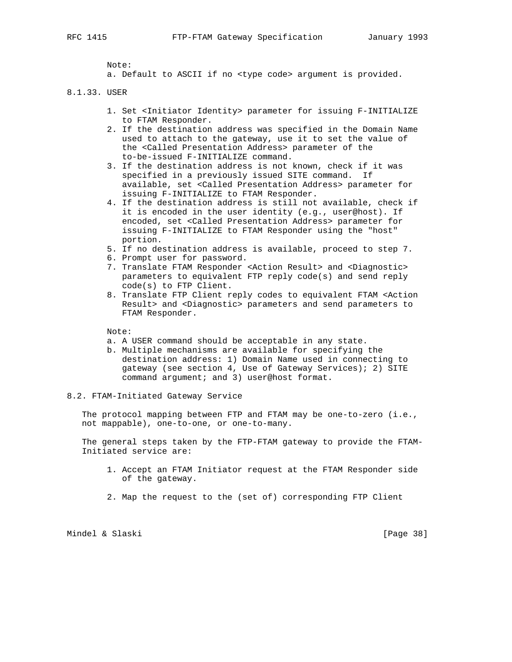a. Default to ASCII if no <type code> argument is provided.

- 8.1.33. USER
	- 1. Set <Initiator Identity> parameter for issuing F-INITIALIZE to FTAM Responder.
	- 2. If the destination address was specified in the Domain Name used to attach to the gateway, use it to set the value of the <Called Presentation Address> parameter of the to-be-issued F-INITIALIZE command.
	- 3. If the destination address is not known, check if it was specified in a previously issued SITE command. If available, set <Called Presentation Address> parameter for issuing F-INITIALIZE to FTAM Responder.
	- 4. If the destination address is still not available, check if it is encoded in the user identity (e.g., user@host). If encoded, set <Called Presentation Address> parameter for issuing F-INITIALIZE to FTAM Responder using the "host" portion.
	- 5. If no destination address is available, proceed to step 7.
	- 6. Prompt user for password.
	- 7. Translate FTAM Responder <Action Result> and <Diagnostic> parameters to equivalent FTP reply code(s) and send reply code(s) to FTP Client.
	- 8. Translate FTP Client reply codes to equivalent FTAM <Action Result> and <Diagnostic> parameters and send parameters to FTAM Responder.

Note:

- a. A USER command should be acceptable in any state.
- b. Multiple mechanisms are available for specifying the destination address: 1) Domain Name used in connecting to gateway (see section 4, Use of Gateway Services); 2) SITE command argument; and 3) user@host format.

8.2. FTAM-Initiated Gateway Service

The protocol mapping between FTP and FTAM may be one-to-zero (i.e., not mappable), one-to-one, or one-to-many.

 The general steps taken by the FTP-FTAM gateway to provide the FTAM- Initiated service are:

- 1. Accept an FTAM Initiator request at the FTAM Responder side of the gateway.
- 2. Map the request to the (set of) corresponding FTP Client

Mindel & Slaski [Page 38]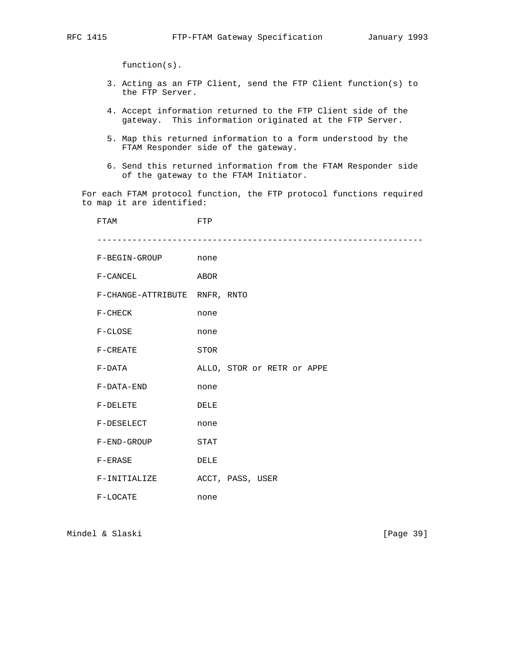function(s).

- 3. Acting as an FTP Client, send the FTP Client function(s) to the FTP Server.
- 4. Accept information returned to the FTP Client side of the gateway. This information originated at the FTP Server.
- 5. Map this returned information to a form understood by the FTAM Responder side of the gateway.
- 6. Send this returned information from the FTAM Responder side of the gateway to the FTAM Initiator.

 For each FTAM protocol function, the FTP protocol functions required to map it are identified:

| FTAM                          | FTP                        |
|-------------------------------|----------------------------|
|                               |                            |
| F-BEGIN-GROUP none            |                            |
| F-CANCEL                      | ABOR                       |
| F-CHANGE-ATTRIBUTE RNFR, RNTO |                            |
| $F-CHECK$                     | none                       |
| $F-CLOSE$                     | none                       |
| $F-CREATE$                    | STOR                       |
| F-DATA                        | ALLO, STOR or RETR or APPE |
| F-DATA-END                    | none                       |
| $F-DELETE$                    | DELE                       |
| F-DESELECT                    | none                       |
| F-END-GROUP                   | STAT                       |
| $F-ERASE$                     | DELE                       |
| F-INITIALIZE                  | ACCT, PASS, USER           |
| F-LOCATE                      | none                       |

Mindel & Slaski [Page 39]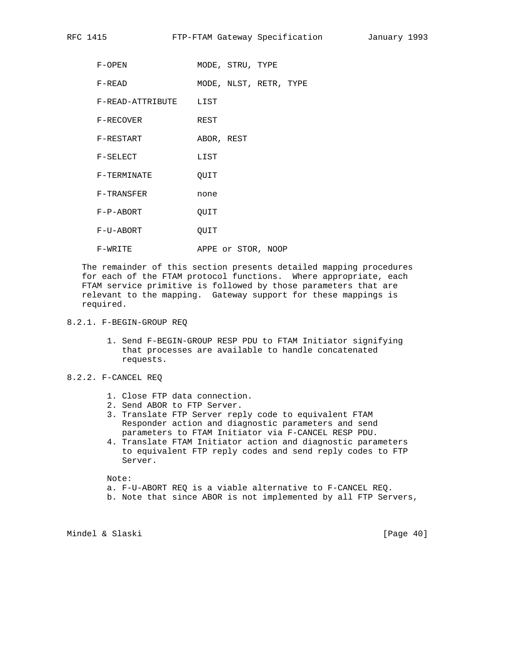| $F-OPEN$              | MODE, STRU, TYPE       |
|-----------------------|------------------------|
| F-READ                | MODE, NLST, RETR, TYPE |
| F-READ-ATTRIBUTE LIST |                        |
| F-RECOVER             | REST                   |
| F-RESTART             | ABOR, REST             |
| F-SELECT              | LIST                   |
| F-TERMINATE           | QUIT                   |
| F-TRANSFER            | none                   |
| $F-P-ABORT$           | QUIT                   |
| F-U-ABORT             | QUIT                   |
| F-WRITE               | APPE or STOR, NOOP     |

 The remainder of this section presents detailed mapping procedures for each of the FTAM protocol functions. Where appropriate, each FTAM service primitive is followed by those parameters that are relevant to the mapping. Gateway support for these mappings is required.

## 8.2.1. F-BEGIN-GROUP REQ

 1. Send F-BEGIN-GROUP RESP PDU to FTAM Initiator signifying that processes are available to handle concatenated requests.

## 8.2.2. F-CANCEL REQ

- 1. Close FTP data connection.
- 2. Send ABOR to FTP Server.
- 3. Translate FTP Server reply code to equivalent FTAM Responder action and diagnostic parameters and send parameters to FTAM Initiator via F-CANCEL RESP PDU.
- 4. Translate FTAM Initiator action and diagnostic parameters to equivalent FTP reply codes and send reply codes to FTP Server.

Note:

- a. F-U-ABORT REQ is a viable alternative to F-CANCEL REQ.
- b. Note that since ABOR is not implemented by all FTP Servers,

Mindel & Slaski [Page 40]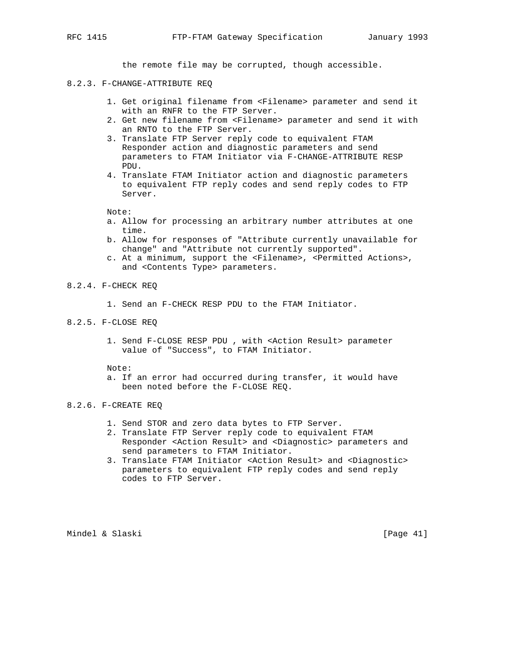the remote file may be corrupted, though accessible.

## 8.2.3. F-CHANGE-ATTRIBUTE REQ

- 1. Get original filename from <Filename> parameter and send it with an RNFR to the FTP Server.
- 2. Get new filename from <Filename> parameter and send it with an RNTO to the FTP Server.
- 3. Translate FTP Server reply code to equivalent FTAM Responder action and diagnostic parameters and send parameters to FTAM Initiator via F-CHANGE-ATTRIBUTE RESP PDU.
- 4. Translate FTAM Initiator action and diagnostic parameters to equivalent FTP reply codes and send reply codes to FTP Server.

Note:

- a. Allow for processing an arbitrary number attributes at one time.
- b. Allow for responses of "Attribute currently unavailable for change" and "Attribute not currently supported".
- c. At a minimum, support the <Filename>, <Permitted Actions>, and <Contents Type> parameters.

# 8.2.4. F-CHECK REQ

1. Send an F-CHECK RESP PDU to the FTAM Initiator.

## 8.2.5. F-CLOSE REQ

 1. Send F-CLOSE RESP PDU , with <Action Result> parameter value of "Success", to FTAM Initiator.

Note:

 a. If an error had occurred during transfer, it would have been noted before the F-CLOSE REQ.

## 8.2.6. F-CREATE REQ

- 1. Send STOR and zero data bytes to FTP Server.
- 2. Translate FTP Server reply code to equivalent FTAM Responder <Action Result> and <Diagnostic> parameters and send parameters to FTAM Initiator.
- 3. Translate FTAM Initiator <Action Result> and <Diagnostic> parameters to equivalent FTP reply codes and send reply codes to FTP Server.

Mindel & Slaski [Page 41]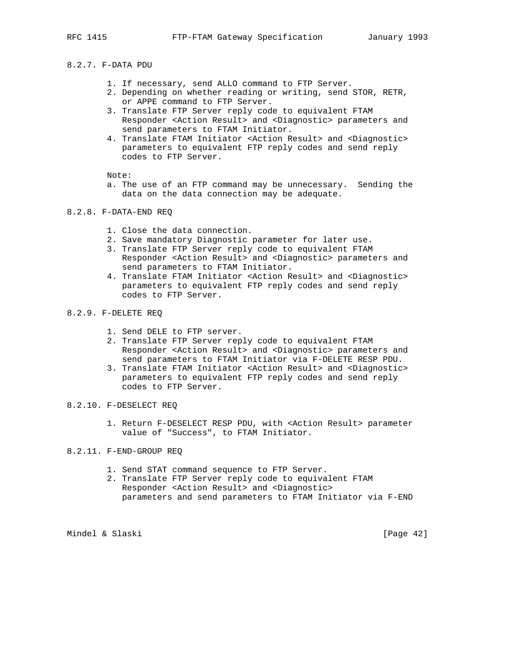# 8.2.7. F-DATA PDU

- 1. If necessary, send ALLO command to FTP Server.
- 2. Depending on whether reading or writing, send STOR, RETR, or APPE command to FTP Server.
- 3. Translate FTP Server reply code to equivalent FTAM Responder <Action Result> and <Diagnostic> parameters and send parameters to FTAM Initiator.
- 4. Translate FTAM Initiator <Action Result> and <Diagnostic> parameters to equivalent FTP reply codes and send reply codes to FTP Server.

Note:

 a. The use of an FTP command may be unnecessary. Sending the data on the data connection may be adequate.

#### 8.2.8. F-DATA-END REQ

- 1. Close the data connection.
- 2. Save mandatory Diagnostic parameter for later use.
- 3. Translate FTP Server reply code to equivalent FTAM Responder <Action Result> and <Diagnostic> parameters and send parameters to FTAM Initiator.
- 4. Translate FTAM Initiator <Action Result> and <Diagnostic> parameters to equivalent FTP reply codes and send reply codes to FTP Server.

### 8.2.9. F-DELETE REQ

- 1. Send DELE to FTP server.
- 2. Translate FTP Server reply code to equivalent FTAM Responder <Action Result> and <Diagnostic> parameters and send parameters to FTAM Initiator via F-DELETE RESP PDU.
- 3. Translate FTAM Initiator <Action Result> and <Diagnostic> parameters to equivalent FTP reply codes and send reply codes to FTP Server.

# 8.2.10. F-DESELECT REQ

 1. Return F-DESELECT RESP PDU, with <Action Result> parameter value of "Success", to FTAM Initiator.

# 8.2.11. F-END-GROUP REQ

- 1. Send STAT command sequence to FTP Server.
- 2. Translate FTP Server reply code to equivalent FTAM Responder <Action Result> and <Diagnostic> parameters and send parameters to FTAM Initiator via F-END

Mindel & Slaski [Page 42]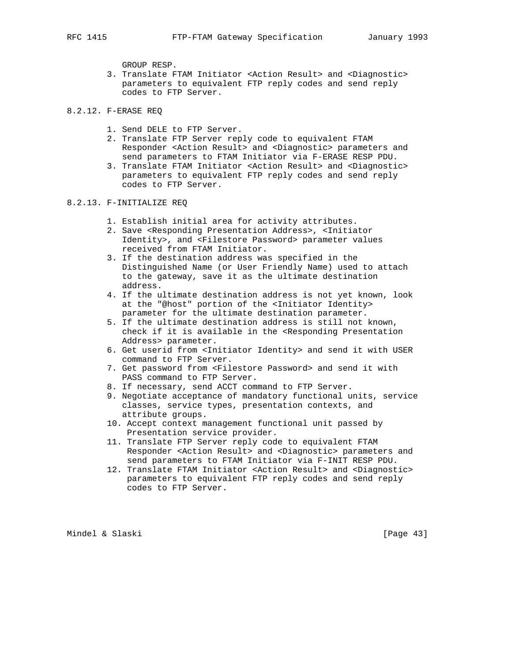GROUP RESP.

- 3. Translate FTAM Initiator <Action Result> and <Diagnostic> parameters to equivalent FTP reply codes and send reply codes to FTP Server.
- 8.2.12. F-ERASE REQ
	- 1. Send DELE to FTP Server.
	- 2. Translate FTP Server reply code to equivalent FTAM Responder <Action Result> and <Diagnostic> parameters and send parameters to FTAM Initiator via F-ERASE RESP PDU.
	- 3. Translate FTAM Initiator <Action Result> and <Diagnostic> parameters to equivalent FTP reply codes and send reply codes to FTP Server.

## 8.2.13. F-INITIALIZE REQ

- 1. Establish initial area for activity attributes.
- 2. Save <Responding Presentation Address>, <Initiator Identity>, and <Filestore Password> parameter values received from FTAM Initiator.
- 3. If the destination address was specified in the Distinguished Name (or User Friendly Name) used to attach to the gateway, save it as the ultimate destination address.
- 4. If the ultimate destination address is not yet known, look at the "@host" portion of the <Initiator Identity> parameter for the ultimate destination parameter.
- 5. If the ultimate destination address is still not known, check if it is available in the <Responding Presentation Address> parameter.
- 6. Get userid from <Initiator Identity> and send it with USER command to FTP Server.
- 7. Get password from <Filestore Password> and send it with PASS command to FTP Server.
- 8. If necessary, send ACCT command to FTP Server.
- 9. Negotiate acceptance of mandatory functional units, service classes, service types, presentation contexts, and attribute groups.
- 10. Accept context management functional unit passed by Presentation service provider.
- 11. Translate FTP Server reply code to equivalent FTAM Responder <Action Result> and <Diagnostic> parameters and send parameters to FTAM Initiator via F-INIT RESP PDU.
- 12. Translate FTAM Initiator <Action Result> and <Diagnostic> parameters to equivalent FTP reply codes and send reply codes to FTP Server.

Mindel & Slaski [Page 43]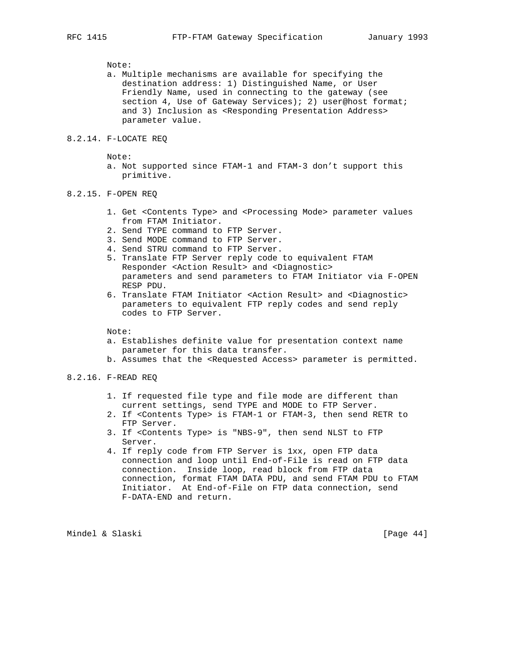- a. Multiple mechanisms are available for specifying the destination address: 1) Distinguished Name, or User Friendly Name, used in connecting to the gateway (see section 4, Use of Gateway Services); 2) user@host format; and 3) Inclusion as <Responding Presentation Address> parameter value.
- 8.2.14. F-LOCATE REQ

Note:

 a. Not supported since FTAM-1 and FTAM-3 don't support this primitive.

#### 8.2.15. F-OPEN REQ

- 1. Get <Contents Type> and <Processing Mode> parameter values from FTAM Initiator.
- 2. Send TYPE command to FTP Server.
- 3. Send MODE command to FTP Server.
- 4. Send STRU command to FTP Server.
- 5. Translate FTP Server reply code to equivalent FTAM Responder <Action Result> and <Diagnostic> parameters and send parameters to FTAM Initiator via F-OPEN RESP PDU.
- 6. Translate FTAM Initiator <Action Result> and <Diagnostic> parameters to equivalent FTP reply codes and send reply codes to FTP Server.

Note:

- a. Establishes definite value for presentation context name parameter for this data transfer.
- b. Assumes that the <Requested Access> parameter is permitted.

8.2.16. F-READ REQ

- 1. If requested file type and file mode are different than current settings, send TYPE and MODE to FTP Server.
- 2. If <Contents Type> is FTAM-1 or FTAM-3, then send RETR to FTP Server.
- 3. If <Contents Type> is "NBS-9", then send NLST to FTP Server.
- 4. If reply code from FTP Server is 1xx, open FTP data connection and loop until End-of-File is read on FTP data connection. Inside loop, read block from FTP data connection, format FTAM DATA PDU, and send FTAM PDU to FTAM Initiator. At End-of-File on FTP data connection, send F-DATA-END and return.

Mindel & Slaski [Page 44]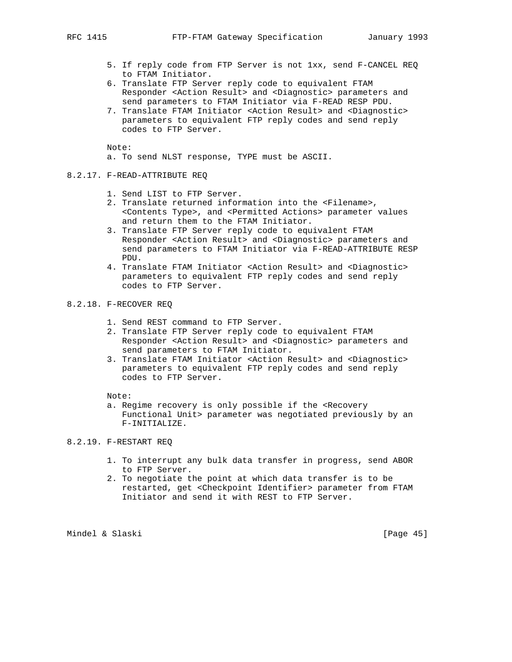- 5. If reply code from FTP Server is not 1xx, send F-CANCEL REQ to FTAM Initiator.
- 6. Translate FTP Server reply code to equivalent FTAM Responder <Action Result> and <Diagnostic> parameters and send parameters to FTAM Initiator via F-READ RESP PDU.
- 7. Translate FTAM Initiator <Action Result> and <Diagnostic> parameters to equivalent FTP reply codes and send reply codes to FTP Server.

- a. To send NLST response, TYPE must be ASCII.
- 8.2.17. F-READ-ATTRIBUTE REQ
	- 1. Send LIST to FTP Server.
	- 2. Translate returned information into the <Filename>, <Contents Type>, and <Permitted Actions> parameter values and return them to the FTAM Initiator.
	- 3. Translate FTP Server reply code to equivalent FTAM Responder <Action Result> and <Diagnostic> parameters and send parameters to FTAM Initiator via F-READ-ATTRIBUTE RESP PDU.
	- 4. Translate FTAM Initiator <Action Result> and <Diagnostic> parameters to equivalent FTP reply codes and send reply codes to FTP Server.

### 8.2.18. F-RECOVER REQ

- 1. Send REST command to FTP Server.
- 2. Translate FTP Server reply code to equivalent FTAM Responder <Action Result> and <Diagnostic> parameters and send parameters to FTAM Initiator.
- 3. Translate FTAM Initiator <Action Result> and <Diagnostic> parameters to equivalent FTP reply codes and send reply codes to FTP Server.

Note:

 a. Regime recovery is only possible if the <Recovery Functional Unit> parameter was negotiated previously by an F-INITIALIZE.

## 8.2.19. F-RESTART REQ

- 1. To interrupt any bulk data transfer in progress, send ABOR to FTP Server.
- 2. To negotiate the point at which data transfer is to be restarted, get <Checkpoint Identifier> parameter from FTAM Initiator and send it with REST to FTP Server.

Mindel & Slaski [Page 45]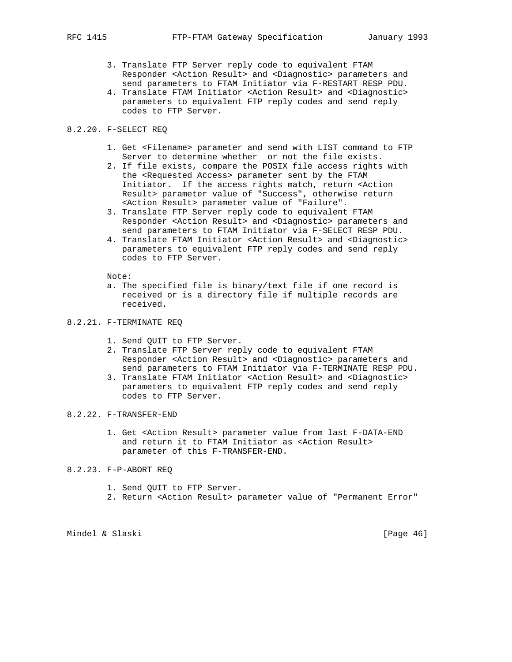- 3. Translate FTP Server reply code to equivalent FTAM Responder <Action Result> and <Diagnostic> parameters and send parameters to FTAM Initiator via F-RESTART RESP PDU.
- 4. Translate FTAM Initiator <Action Result> and <Diagnostic> parameters to equivalent FTP reply codes and send reply codes to FTP Server.
- 8.2.20. F-SELECT REQ
	- 1. Get <Filename> parameter and send with LIST command to FTP Server to determine whether or not the file exists.
	- 2. If file exists, compare the POSIX file access rights with the <Requested Access> parameter sent by the FTAM Initiator. If the access rights match, return <Action Result> parameter value of "Success", otherwise return <Action Result> parameter value of "Failure".
	- 3. Translate FTP Server reply code to equivalent FTAM Responder <Action Result> and <Diagnostic> parameters and send parameters to FTAM Initiator via F-SELECT RESP PDU.
	- 4. Translate FTAM Initiator <Action Result> and <Diagnostic> parameters to equivalent FTP reply codes and send reply codes to FTP Server.

- a. The specified file is binary/text file if one record is received or is a directory file if multiple records are received.
- 8.2.21. F-TERMINATE REQ
	- 1. Send QUIT to FTP Server.
	- 2. Translate FTP Server reply code to equivalent FTAM Responder <Action Result> and <Diagnostic> parameters and send parameters to FTAM Initiator via F-TERMINATE RESP PDU.
	- 3. Translate FTAM Initiator <Action Result> and <Diagnostic> parameters to equivalent FTP reply codes and send reply codes to FTP Server.
- 8.2.22. F-TRANSFER-END
	- 1. Get <Action Result> parameter value from last F-DATA-END and return it to FTAM Initiator as <Action Result> parameter of this F-TRANSFER-END.
- 8.2.23. F-P-ABORT REQ
	- 1. Send QUIT to FTP Server.
	- 2. Return <Action Result> parameter value of "Permanent Error"

Mindel & Slaski [Page 46]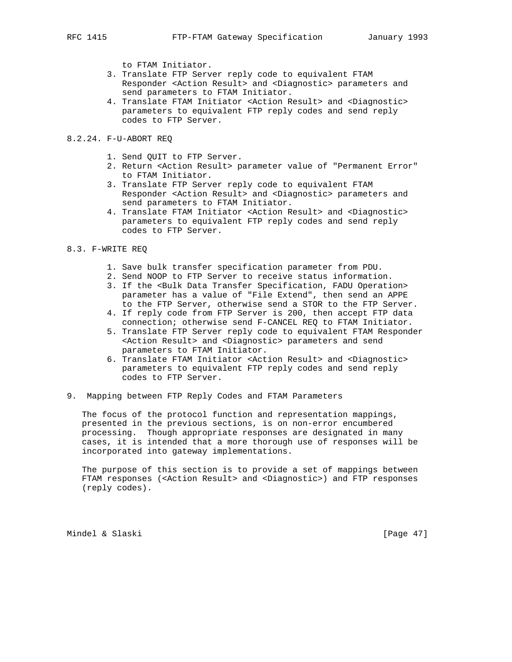to FTAM Initiator.

- 3. Translate FTP Server reply code to equivalent FTAM Responder <Action Result> and <Diagnostic> parameters and send parameters to FTAM Initiator.
- 4. Translate FTAM Initiator <Action Result> and <Diagnostic> parameters to equivalent FTP reply codes and send reply codes to FTP Server.
- 8.2.24. F-U-ABORT REQ
	- 1. Send QUIT to FTP Server.
	- 2. Return <Action Result> parameter value of "Permanent Error" to FTAM Initiator.
	- 3. Translate FTP Server reply code to equivalent FTAM Responder <Action Result> and <Diagnostic> parameters and send parameters to FTAM Initiator.
	- 4. Translate FTAM Initiator <Action Result> and <Diagnostic> parameters to equivalent FTP reply codes and send reply codes to FTP Server.
- 8.3. F-WRITE REQ
	- 1. Save bulk transfer specification parameter from PDU.
	- 2. Send NOOP to FTP Server to receive status information.
	- 3. If the <Bulk Data Transfer Specification, FADU Operation> parameter has a value of "File Extend", then send an APPE to the FTP Server, otherwise send a STOR to the FTP Server.
	- 4. If reply code from FTP Server is 200, then accept FTP data connection; otherwise send F-CANCEL REQ to FTAM Initiator.
	- 5. Translate FTP Server reply code to equivalent FTAM Responder <Action Result> and <Diagnostic> parameters and send parameters to FTAM Initiator.
	- 6. Translate FTAM Initiator <Action Result> and <Diagnostic> parameters to equivalent FTP reply codes and send reply codes to FTP Server.
- 9. Mapping between FTP Reply Codes and FTAM Parameters

 The focus of the protocol function and representation mappings, presented in the previous sections, is on non-error encumbered processing. Though appropriate responses are designated in many cases, it is intended that a more thorough use of responses will be incorporated into gateway implementations.

 The purpose of this section is to provide a set of mappings between FTAM responses (<Action Result> and <Diagnostic>) and FTP responses (reply codes).

Mindel & Slaski [Page 47]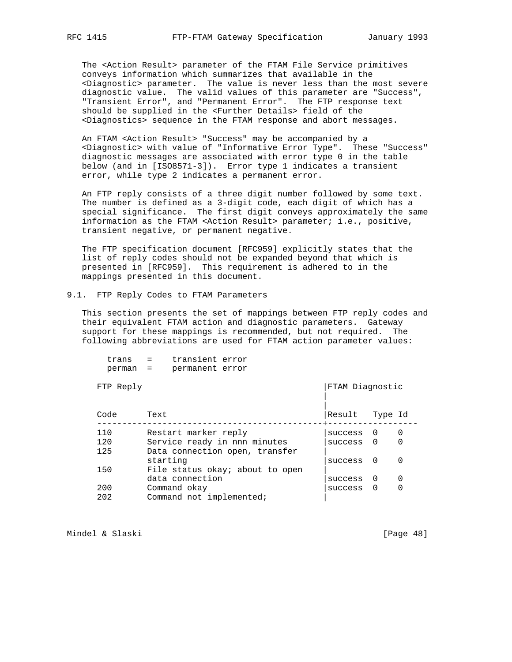The <Action Result> parameter of the FTAM File Service primitives conveys information which summarizes that available in the <Diagnostic> parameter. The value is never less than the most severe diagnostic value. The valid values of this parameter are "Success", "Transient Error", and "Permanent Error". The FTP response text should be supplied in the <Further Details> field of the <Diagnostics> sequence in the FTAM response and abort messages.

 An FTAM <Action Result> "Success" may be accompanied by a <Diagnostic> with value of "Informative Error Type". These "Success" diagnostic messages are associated with error type 0 in the table below (and in [ISO8571-3]). Error type 1 indicates a transient error, while type 2 indicates a permanent error.

 An FTP reply consists of a three digit number followed by some text. The number is defined as a 3-digit code, each digit of which has a special significance. The first digit conveys approximately the same information as the FTAM <Action Result> parameter; i.e., positive, transient negative, or permanent negative.

 The FTP specification document [RFC959] explicitly states that the list of reply codes should not be expanded beyond that which is presented in [RFC959]. This requirement is adhered to in the mappings presented in this document.

#### 9.1. FTP Reply Codes to FTAM Parameters

 This section presents the set of mappings between FTP reply codes and their equivalent FTAM action and diagnostic parameters. Gateway support for these mappings is recommended, but not required. The following abbreviations are used for FTAM action parameter values:

| trans  | $=$ | transient error |  |
|--------|-----|-----------------|--|
| perman | $=$ | permanent error |  |

|

FTP Reply  $|$  FTAM Diagnostic

| Code | Text                            | Result  | Type Id    |   |
|------|---------------------------------|---------|------------|---|
| 110  | Restart marker reply            | success |            |   |
| 120  | Service ready in nnn minutes    | success | $\bigcirc$ | 0 |
| 125  | Data connection open, transfer  |         |            |   |
|      | starting                        | success |            |   |
| 150  | File status okay; about to open |         |            |   |
|      | data connection                 | success |            |   |
| 200  | Command okay                    | success |            |   |
| 202  | Command not implemented;        |         |            |   |

Mindel & Slaski [Page 48]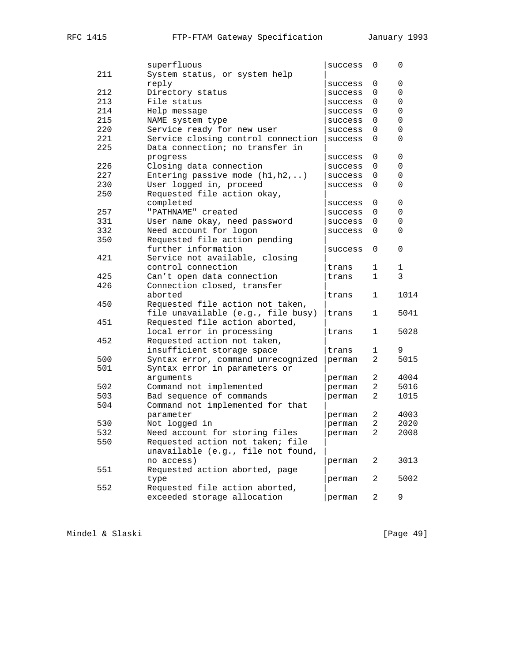|     | superfluous                        | success | 0              | 0           |
|-----|------------------------------------|---------|----------------|-------------|
| 211 | System status, or system help      |         |                |             |
|     | reply                              | success | 0              | 0           |
| 212 | Directory status                   | success | 0              | 0           |
| 213 | File status                        | success | 0              | 0           |
| 214 | Help message                       | success | 0              | $\mathsf 0$ |
| 215 | NAME system type                   | success | 0              | $\mathsf 0$ |
| 220 | Service ready for new user         | success | 0              | 0           |
| 221 | Service closing control connection | success | 0              | 0           |
| 225 | Data connection; no transfer in    |         |                |             |
|     | progress                           | success | 0              | 0           |
| 226 | Closing data connection            | success | 0              | 0           |
| 227 | Entering passive mode $(h1,h2,)$   | success | 0              | $\mathsf 0$ |
| 230 | User logged in, proceed            | success | 0              | 0           |
| 250 | Requested file action okay,        |         |                |             |
|     | completed                          | success | 0              | 0           |
| 257 | "PATHNAME" created                 | success | 0              | 0           |
| 331 | User name okay, need password      | success | 0              | 0           |
| 332 | Need account for logon             | success | 0              | 0           |
| 350 | Requested file action pending      |         |                |             |
|     | further information                | success | 0              | 0           |
| 421 | Service not available, closing     |         |                |             |
|     | control connection                 | trans   | 1              | 1           |
| 425 | Can't open data connection         | trans   | 1              | 3           |
| 426 | Connection closed, transfer        |         |                |             |
|     | aborted                            | trans   | 1              | 1014        |
| 450 | Requested file action not taken,   |         |                |             |
|     | file unavailable (e.g., file busy) | trans   | 1              | 5041        |
| 451 | Requested file action aborted,     |         |                |             |
|     | local error in processing          | trans   | 1              | 5028        |
| 452 | Requested action not taken,        |         |                |             |
|     | insufficient storage space         | trans   | 1              | 9           |
| 500 | Syntax error, command unrecognized | perman  | 2              | 5015        |
| 501 | Syntax error in parameters or      |         |                |             |
|     | arquments                          | perman  | 2              | 4004        |
| 502 | Command not implemented            | perman  | 2              | 5016        |
| 503 | Bad sequence of commands           | perman  | 2              | 1015        |
| 504 | Command not implemented for that   |         |                |             |
|     | parameter                          | perman  | 2              | 4003        |
| 530 | Not logged in                      | perman  | 2              | 2020        |
| 532 | Need account for storing files     | perman  | $\overline{2}$ | 2008        |
| 550 | Requested action not taken; file   |         |                |             |
|     | unavailable (e.g., file not found, |         |                |             |
|     | no access)                         | perman  | 2              | 3013        |
| 551 | Requested action aborted, page     |         |                |             |
|     | type                               | perman  | 2              | 5002        |
| 552 | Requested file action aborted,     |         |                |             |
|     | exceeded storage allocation        | perman  | 2              | 9           |

Mindel & Slaski [Page 49]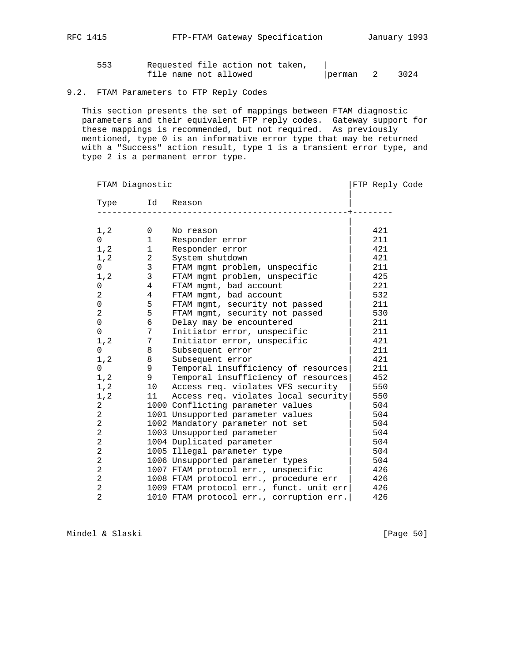| 553 | Requested file action not taken, |           |      |
|-----|----------------------------------|-----------|------|
|     | file name not allowed            | lperman 2 | 3024 |

# 9.2. FTAM Parameters to FTP Reply Codes

 This section presents the set of mappings between FTAM diagnostic parameters and their equivalent FTP reply codes. Gateway support for these mappings is recommended, but not required. As previously mentioned, type 0 is an informative error type that may be returned with a "Success" action result, type 1 is a transient error type, and type 2 is a permanent error type.

|                | FTAM Diagnostic         |                                          |  | FTP Reply Code |  |
|----------------|-------------------------|------------------------------------------|--|----------------|--|
| Type           | Id                      | Reason                                   |  |                |  |
|                |                         |                                          |  |                |  |
| 1, 2           | $\overline{0}$          | No reason                                |  | 421            |  |
| $\Omega$       | $\mathbf 1$             | Responder error                          |  | 211            |  |
| 1, 2           | $\overline{\mathbf{1}}$ | Responder error                          |  | 421            |  |
| 1,2            | $\overline{2}$          | System shutdown                          |  | 421            |  |
| 0              | $\mathbf{3}$            | FTAM mgmt problem, unspecific            |  | 211            |  |
| 1, 2           | $\mathbf{3}$            | FTAM mgmt problem, unspecific            |  | 425            |  |
| 0              | $\overline{4}$          | FTAM mgmt, bad account                   |  | 221            |  |
| 2              | 4                       | FTAM mgmt, bad account                   |  | 532            |  |
| 0              | 5                       | FTAM mgmt, security not passed           |  | 211            |  |
| $\overline{a}$ | 5                       | FTAM mgmt, security not passed           |  | 530            |  |
| 0              | 6                       | Delay may be encountered                 |  | 211            |  |
| $\Omega$       | 7                       | Initiator error, unspecific              |  | 211            |  |
| 1, 2           | 7                       | Initiator error, unspecific              |  | 421            |  |
| $\Omega$       | 8                       | Subsequent error                         |  | 211            |  |
| 1, 2           | 8                       | Subsequent error                         |  | 421            |  |
| 0              | 9                       | Temporal insufficiency of resources      |  | 211            |  |
| 1, 2           | 9                       | Temporal insufficiency of resources      |  | 452            |  |
| 1, 2           | 10                      | Access req. violates VFS security        |  | 550            |  |
| 1,2            | 11                      | Access req. violates local security      |  | 550            |  |
| $\overline{2}$ |                         | 1000 Conflicting parameter values        |  | 504            |  |
| 2              |                         | 1001 Unsupported parameter values        |  | 504            |  |
| 2              |                         | 1002 Mandatory parameter not set         |  | 504            |  |
| $\overline{c}$ |                         | 1003 Unsupported parameter               |  | 504            |  |
| $\overline{a}$ |                         | 1004 Duplicated parameter                |  | 504            |  |
| $\overline{2}$ |                         | 1005 Illegal parameter type              |  | 504            |  |
| $\overline{2}$ |                         | 1006 Unsupported parameter types         |  | 504            |  |
| 2              |                         | 1007 FTAM protocol err., unspecific      |  | 426            |  |
| 2              |                         | 1008 FTAM protocol err., procedure err   |  | 426            |  |
| 2              |                         | 1009 FTAM protocol err., funct. unit err |  | 426            |  |
| $\overline{2}$ |                         | 1010 FTAM protocol err., corruption err. |  | 426            |  |
|                |                         |                                          |  |                |  |

Mindel & Slaski [Page 50]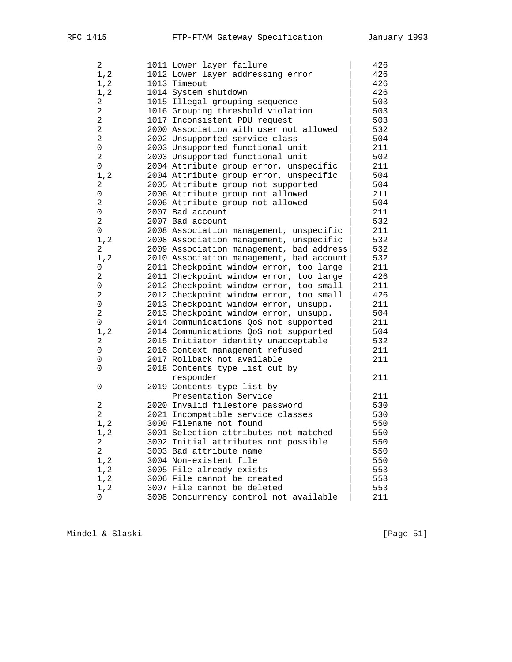| 2              | 1011 Lower layer failure                 | 426 |
|----------------|------------------------------------------|-----|
| 1, 2           | 1012 Lower layer addressing error        | 426 |
| 1, 2           | 1013 Timeout                             | 426 |
| 1, 2           | 1014 System shutdown                     | 426 |
| 2              | 1015 Illegal grouping sequence           | 503 |
| 2              | 1016 Grouping threshold violation        | 503 |
| 2              | 1017 Inconsistent PDU request            | 503 |
| $\overline{a}$ | 2000 Association with user not allowed   | 532 |
| $\overline{a}$ | 2002 Unsupported service class           | 504 |
| 0              | 2003 Unsupported functional unit         | 211 |
| 2              | 2003 Unsupported functional unit         | 502 |
| 0              | 2004 Attribute group error, unspecific   | 211 |
| $1,2$          | 2004 Attribute group error, unspecific   | 504 |
| 2              | 2005 Attribute group not supported       | 504 |
| 0              | 2006 Attribute group not allowed         | 211 |
| 2              | 2006 Attribute group not allowed         | 504 |
| 0              | 2007 Bad account                         | 211 |
| 2              | 2007 Bad account                         | 532 |
| 0              | 2008 Association management, unspecific  | 211 |
| 1, 2           | 2008 Association management, unspecific  | 532 |
| 2              | 2009 Association management, bad address | 532 |
| 1, 2           | 2010 Association management, bad account | 532 |
| 0              | 2011 Checkpoint window error, too large  | 211 |
| 2              | 2011 Checkpoint window error, too large  | 426 |
| 0              | 2012 Checkpoint window error, too small  | 211 |
| 2              | 2012 Checkpoint window error, too small  | 426 |
| 0              | 2013 Checkpoint window error, unsupp.    | 211 |
| $\overline{c}$ | 2013 Checkpoint window error, unsupp.    | 504 |
| $\mathsf 0$    | 2014 Communications QoS not supported    | 211 |
| 1, 2           | 2014 Communications QoS not supported    | 504 |
| 2              | 2015 Initiator identity unacceptable     | 532 |
| 0              | 2016 Context management refused          | 211 |
| 0              | 2017 Rollback not available              | 211 |
| 0              | 2018 Contents type list cut by           |     |
|                | responder                                | 211 |
| 0              | 2019 Contents type list by               |     |
|                | Presentation Service                     | 211 |
| 2              | 2020 Invalid filestore password          | 530 |
| $\overline{2}$ | 2021 Incompatible service classes        | 530 |
| $1,2$          | 3000 Filename not found                  | 550 |
| 1, 2           | 3001 Selection attributes not matched    | 550 |
| 2.             | 3002 Initial attributes not possible     | 550 |
| $\overline{a}$ | 3003 Bad attribute name                  | 550 |
| 1, 2           | 3004 Non-existent file                   | 550 |
| 1, 2           | 3005 File already exists                 | 553 |
| 1, 2           | 3006 File cannot be created              | 553 |
| 1, 2           | 3007 File cannot be deleted              | 553 |
| 0              | 3008 Concurrency control not available   | 211 |

Mindel & Slaski [Page 51]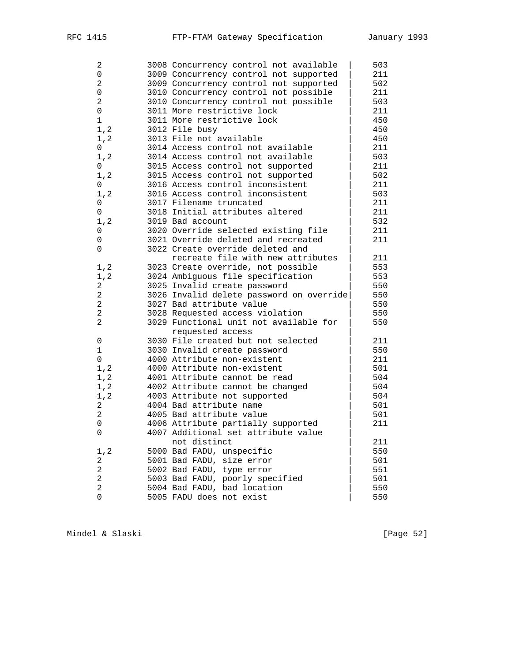| 2              | 3008 Concurrency control not available   | 503 |
|----------------|------------------------------------------|-----|
| 0              | 3009 Concurrency control not supported   | 211 |
| $\overline{2}$ | 3009 Concurrency control not supported   | 502 |
| 0              | 3010 Concurrency control not possible    | 211 |
| 2              | 3010 Concurrency control not possible    | 503 |
| 0              | 3011 More restrictive lock               | 211 |
| $\mathbf 1$    | 3011 More restrictive lock               | 450 |
| 1, 2           | 3012 File busy                           | 450 |
| 1, 2           | 3013 File not available                  | 450 |
| 0              | 3014 Access control not available        | 211 |
| 1, 2           | 3014 Access control not available        | 503 |
| 0              | 3015 Access control not supported        | 211 |
| 1, 2           | 3015 Access control not supported        | 502 |
| 0              | 3016 Access control inconsistent         | 211 |
| $1,2$          | 3016 Access control inconsistent         | 503 |
| 0              | 3017 Filename truncated                  | 211 |
| 0              | 3018 Initial attributes altered          | 211 |
| 1, 2           | 3019 Bad account                         | 532 |
| 0              | 3020 Override selected existing file     | 211 |
| 0              | 3021 Override deleted and recreated      | 211 |
| $\mathsf 0$    | 3022 Create override deleted and         |     |
|                | recreate file with new attributes        | 211 |
| 1, 2           | 3023 Create override, not possible       | 553 |
| 1,2            | 3024 Ambiguous file specification        | 553 |
| 2              | 3025 Invalid create password             | 550 |
| $\overline{a}$ | 3026 Invalid delete password on override | 550 |
| $\overline{a}$ | 3027 Bad attribute value                 | 550 |
| $\overline{a}$ | 3028 Requested access violation          | 550 |
| $\overline{2}$ | 3029 Functional unit not available for   | 550 |
|                | requested access                         |     |
| 0              | 3030 File created but not selected       | 211 |
| $\mathbf{1}$   | 3030 Invalid create password             | 550 |
| 0              | 4000 Attribute non-existent              | 211 |
| 1, 2           | 4000 Attribute non-existent              | 501 |
| 1, 2           | 4001 Attribute cannot be read            | 504 |
| 1, 2           | 4002 Attribute cannot be changed         | 504 |
| 1, 2           | 4003 Attribute not supported             | 504 |
| 2              | 4004 Bad attribute name                  | 501 |
| $\overline{a}$ | 4005 Bad attribute value                 | 501 |
| 0              | 4006 Attribute partially supported       | 211 |
| 0              | 4007 Additional set attribute value      |     |
|                | not distinct                             | 211 |
| 1, 2           | 5000 Bad FADU, unspecific                | 550 |
| 2              | 5001 Bad FADU, size error                | 501 |
| $\overline{a}$ | 5002 Bad FADU, type error                | 551 |
| $\overline{a}$ | 5003 Bad FADU, poorly specified          | 501 |
| $\overline{a}$ | 5004 Bad FADU, bad location              | 550 |
| 0              | 5005 FADU does not exist                 | 550 |
|                |                                          |     |

Mindel & Slaski [Page 52]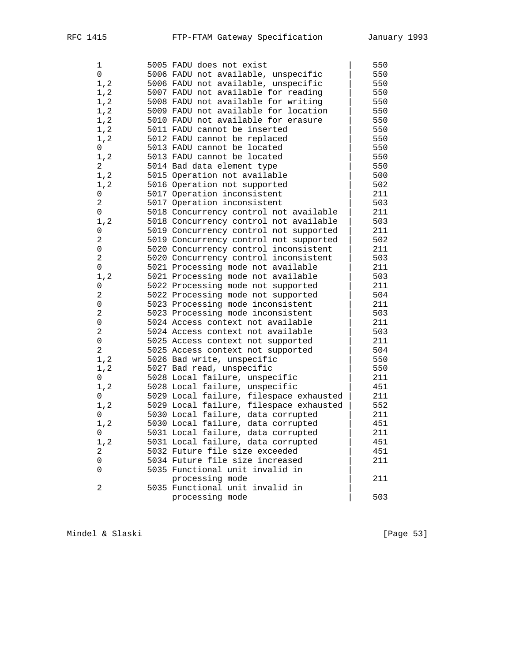| 1                   | 5005 FADU does not exist                | 550 |
|---------------------|-----------------------------------------|-----|
| 0                   | 5006 FADU not available, unspecific     | 550 |
| 1, 2                | 5006 FADU not available, unspecific     | 550 |
| 1, 2                | 5007 FADU not available for reading     | 550 |
| 1, 2                | 5008 FADU not available for writing     | 550 |
| 1, 2                | 5009 FADU not available for location    | 550 |
| 1, 2                | 5010 FADU not available for erasure     | 550 |
| 1, 2                | 5011 FADU cannot be inserted            | 550 |
| 1,2                 | 5012 FADU cannot be replaced            | 550 |
| 0                   | 5013 FADU cannot be located             | 550 |
| 1, 2                | 5013 FADU cannot be located             | 550 |
| $\overline{a}$      | 5014 Bad data element type              | 550 |
| 1, 2                | 5015 Operation not available            | 500 |
| 1, 2                | 5016 Operation not supported            | 502 |
| 0                   | 5017 Operation inconsistent             | 211 |
| $\overline{a}$      | 5017 Operation inconsistent             | 503 |
| $\mathsf 0$         | 5018 Concurrency control not available  | 211 |
| 1, 2                | 5018 Concurrency control not available  | 503 |
| 0                   | 5019 Concurrency control not supported  | 211 |
| 2                   | 5019 Concurrency control not supported  | 502 |
| 0                   | 5020 Concurrency control inconsistent   | 211 |
| $\overline{a}$      | 5020 Concurrency control inconsistent   | 503 |
| $\mathsf 0$         | 5021 Processing mode not available      | 211 |
| 1, 2                | 5021 Processing mode not available      | 503 |
| 0                   | 5022 Processing mode not supported      | 211 |
| 2                   | 5022 Processing mode not supported      | 504 |
| 0                   | 5023 Processing mode inconsistent       | 211 |
| $\overline{a}$      | 5023 Processing mode inconsistent       | 503 |
| $\mathsf{O}\xspace$ | 5024 Access context not available       | 211 |
| 2                   | 5024 Access context not available       | 503 |
| 0                   | 5025 Access context not supported       | 211 |
| 2                   | 5025 Access context not supported       | 504 |
| 1, 2                | 5026 Bad write, unspecific              | 550 |
| 1, 2                | 5027 Bad read, unspecific               | 550 |
| 0                   | 5028 Local failure, unspecific          | 211 |
| 1, 2                | 5028 Local failure, unspecific          | 451 |
| 0                   | 5029 Local failure, filespace exhausted | 211 |
| 1, 2                | 5029 Local failure, filespace exhausted | 552 |
| 0                   | 5030 Local failure, data corrupted      | 211 |
| 1, 2                | 5030 Local failure, data corrupted      | 451 |
| 0                   | 5031 Local failure, data corrupted      | 211 |
| 1, 2                | 5031 Local failure, data corrupted      | 451 |
| 2                   | 5032 Future file size exceeded          | 451 |
| 0                   | 5034 Future file size increased         | 211 |
| $\Omega$            | 5035 Functional unit invalid in         |     |
|                     | processing mode                         | 211 |
| $\overline{2}$      | 5035 Functional unit invalid in         |     |
|                     | processing mode                         | 503 |
|                     |                                         |     |

Mindel & Slaski [Page 53]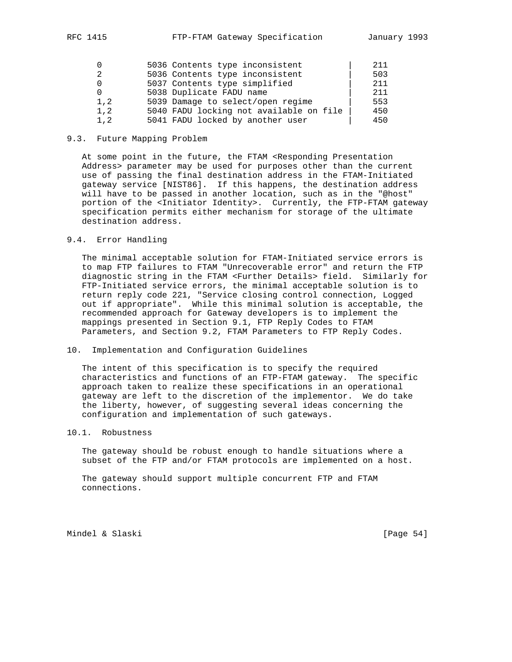|          | 5036 Contents type inconsistent         | 211 |
|----------|-----------------------------------------|-----|
| 2        | 5036 Contents type inconsistent         | 503 |
| $\Omega$ | 5037 Contents type simplified           | 211 |
|          | 5038 Duplicate FADU name                | 211 |
| 1.2      | 5039 Damage to select/open regime       | 553 |
| 1.2      | 5040 FADU locking not available on file | 450 |
| 1.2      | 5041 FADU locked by another user        | 450 |

#### 9.3. Future Mapping Problem

At some point in the future, the FTAM <Responding Presentation Address> parameter may be used for purposes other than the current use of passing the final destination address in the FTAM-Initiated gateway service [NIST86]. If this happens, the destination address will have to be passed in another location, such as in the "@host" portion of the <Initiator Identity>. Currently, the FTP-FTAM gateway specification permits either mechanism for storage of the ultimate destination address.

#### 9.4. Error Handling

 The minimal acceptable solution for FTAM-Initiated service errors is to map FTP failures to FTAM "Unrecoverable error" and return the FTP diagnostic string in the FTAM <Further Details> field. Similarly for FTP-Initiated service errors, the minimal acceptable solution is to return reply code 221, "Service closing control connection, Logged out if appropriate". While this minimal solution is acceptable, the recommended approach for Gateway developers is to implement the mappings presented in Section 9.1, FTP Reply Codes to FTAM Parameters, and Section 9.2, FTAM Parameters to FTP Reply Codes.

### 10. Implementation and Configuration Guidelines

 The intent of this specification is to specify the required characteristics and functions of an FTP-FTAM gateway. The specific approach taken to realize these specifications in an operational gateway are left to the discretion of the implementor. We do take the liberty, however, of suggesting several ideas concerning the configuration and implementation of such gateways.

### 10.1. Robustness

 The gateway should be robust enough to handle situations where a subset of the FTP and/or FTAM protocols are implemented on a host.

 The gateway should support multiple concurrent FTP and FTAM connections.

Mindel & Slaski [Page 54]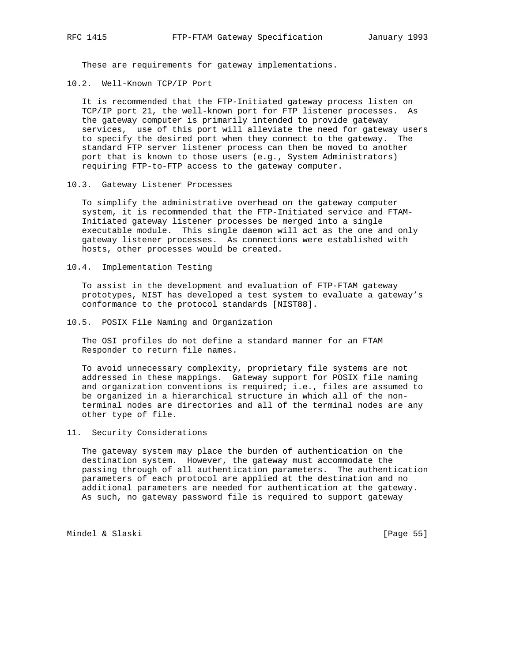These are requirements for gateway implementations.

10.2. Well-Known TCP/IP Port

 It is recommended that the FTP-Initiated gateway process listen on TCP/IP port 21, the well-known port for FTP listener processes. As the gateway computer is primarily intended to provide gateway services, use of this port will alleviate the need for gateway users to specify the desired port when they connect to the gateway. The standard FTP server listener process can then be moved to another port that is known to those users (e.g., System Administrators) requiring FTP-to-FTP access to the gateway computer.

10.3. Gateway Listener Processes

 To simplify the administrative overhead on the gateway computer system, it is recommended that the FTP-Initiated service and FTAM- Initiated gateway listener processes be merged into a single executable module. This single daemon will act as the one and only gateway listener processes. As connections were established with hosts, other processes would be created.

10.4. Implementation Testing

 To assist in the development and evaluation of FTP-FTAM gateway prototypes, NIST has developed a test system to evaluate a gateway's conformance to the protocol standards [NIST88].

10.5. POSIX File Naming and Organization

 The OSI profiles do not define a standard manner for an FTAM Responder to return file names.

 To avoid unnecessary complexity, proprietary file systems are not addressed in these mappings. Gateway support for POSIX file naming and organization conventions is required; i.e., files are assumed to be organized in a hierarchical structure in which all of the non terminal nodes are directories and all of the terminal nodes are any other type of file.

11. Security Considerations

 The gateway system may place the burden of authentication on the destination system. However, the gateway must accommodate the passing through of all authentication parameters. The authentication parameters of each protocol are applied at the destination and no additional parameters are needed for authentication at the gateway. As such, no gateway password file is required to support gateway

Mindel & Slaski [Page 55]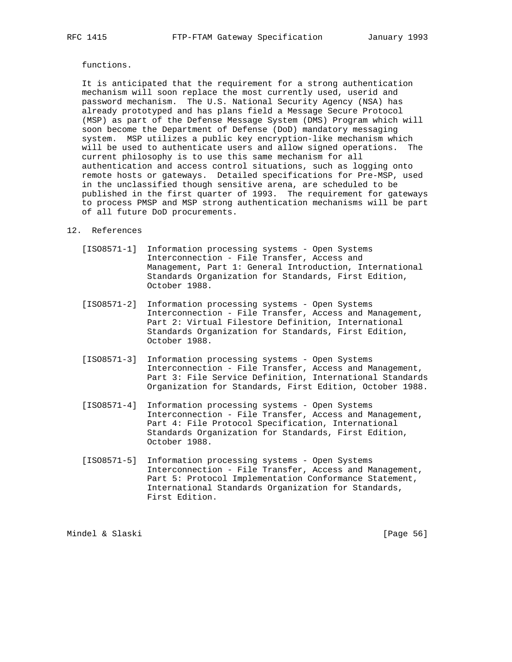#### functions.

 It is anticipated that the requirement for a strong authentication mechanism will soon replace the most currently used, userid and password mechanism. The U.S. National Security Agency (NSA) has already prototyped and has plans field a Message Secure Protocol (MSP) as part of the Defense Message System (DMS) Program which will soon become the Department of Defense (DoD) mandatory messaging system. MSP utilizes a public key encryption-like mechanism which will be used to authenticate users and allow signed operations. The current philosophy is to use this same mechanism for all authentication and access control situations, such as logging onto remote hosts or gateways. Detailed specifications for Pre-MSP, used in the unclassified though sensitive arena, are scheduled to be published in the first quarter of 1993. The requirement for gateways to process PMSP and MSP strong authentication mechanisms will be part of all future DoD procurements.

#### 12. References

- [ISO8571-1] Information processing systems Open Systems Interconnection - File Transfer, Access and Management, Part 1: General Introduction, International Standards Organization for Standards, First Edition, October 1988.
- [ISO8571-2] Information processing systems Open Systems Interconnection - File Transfer, Access and Management, Part 2: Virtual Filestore Definition, International Standards Organization for Standards, First Edition, October 1988.
- [ISO8571-3] Information processing systems Open Systems Interconnection - File Transfer, Access and Management, Part 3: File Service Definition, International Standards Organization for Standards, First Edition, October 1988.
- [ISO8571-4] Information processing systems Open Systems Interconnection - File Transfer, Access and Management, Part 4: File Protocol Specification, International Standards Organization for Standards, First Edition, October 1988.
	- [ISO8571-5] Information processing systems Open Systems Interconnection - File Transfer, Access and Management, Part 5: Protocol Implementation Conformance Statement, International Standards Organization for Standards, First Edition.

Mindel & Slaski [Page 56]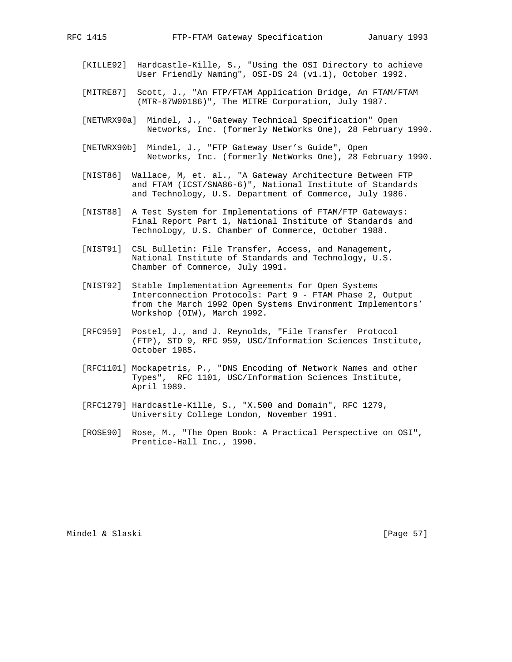- [KILLE92] Hardcastle-Kille, S., "Using the OSI Directory to achieve User Friendly Naming", OSI-DS 24 (v1.1), October 1992.
	- [MITRE87] Scott, J., "An FTP/FTAM Application Bridge, An FTAM/FTAM (MTR-87W00186)", The MITRE Corporation, July 1987.
	- [NETWRX90a] Mindel, J., "Gateway Technical Specification" Open Networks, Inc. (formerly NetWorks One), 28 February 1990.
	- [NETWRX90b] Mindel, J., "FTP Gateway User's Guide", Open Networks, Inc. (formerly NetWorks One), 28 February 1990.
	- [NIST86] Wallace, M, et. al., "A Gateway Architecture Between FTP and FTAM (ICST/SNA86-6)", National Institute of Standards and Technology, U.S. Department of Commerce, July 1986.
	- [NIST88] A Test System for Implementations of FTAM/FTP Gateways: Final Report Part 1, National Institute of Standards and Technology, U.S. Chamber of Commerce, October 1988.
	- [NIST91] CSL Bulletin: File Transfer, Access, and Management, National Institute of Standards and Technology, U.S. Chamber of Commerce, July 1991.
	- [NIST92] Stable Implementation Agreements for Open Systems Interconnection Protocols: Part 9 - FTAM Phase 2, Output from the March 1992 Open Systems Environment Implementors' Workshop (OIW), March 1992.
	- [RFC959] Postel, J., and J. Reynolds, "File Transfer Protocol (FTP), STD 9, RFC 959, USC/Information Sciences Institute, October 1985.
	- [RFC1101] Mockapetris, P., "DNS Encoding of Network Names and other Types", RFC 1101, USC/Information Sciences Institute, April 1989.
	- [RFC1279] Hardcastle-Kille, S., "X.500 and Domain", RFC 1279, University College London, November 1991.
	- [ROSE90] Rose, M., "The Open Book: A Practical Perspective on OSI", Prentice-Hall Inc., 1990.

Mindel & Slaski [Page 57]